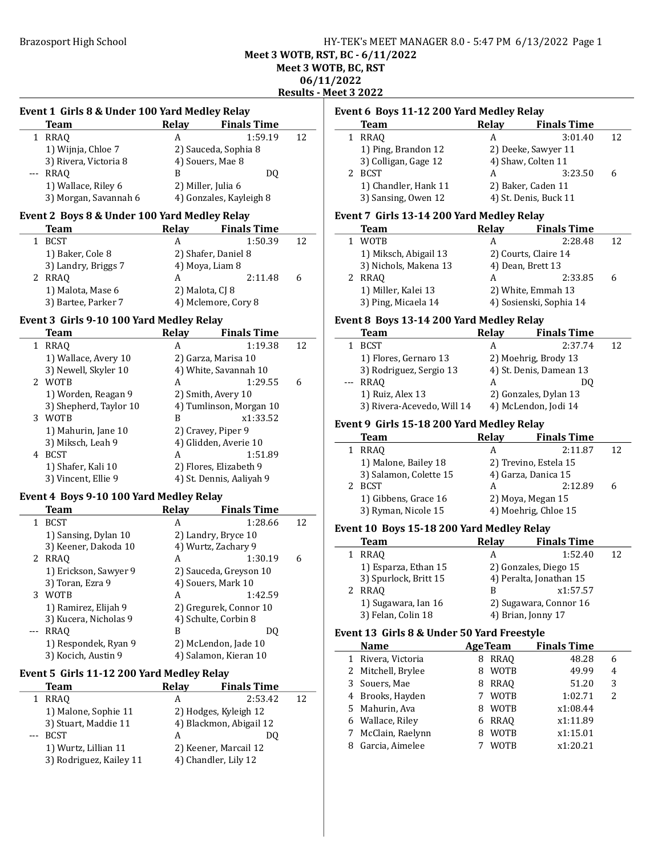### Brazosport High School **HY-TEK's MEET MANAGER 8.0 - 5:47 PM 6/13/2022** Page 1 Meet 3 WOTB, RST, BC - 6/11/2022 Meet 3 WOTB, BC, RST 06/11/2022 Results - Meet 3 2022

## Event 1 Girls 8 & Under 100 Yard Medley Relay Team Relay Finals Time 1 RRAO A 1:59.19 12 1) Wijnja, Chloe 7 2) Sauceda, Sophia 8<br>3) Rivera, Victoria 8 4) Souers, Mae 8 3) Rivera, Victoria 8 --- RRAQ B DQ 1) Wallace, Riley 6 2) Miller, Julia 6 3) Morgan, Savannah 6 4) Gonzales, Kayleigh 8 Event 2 Boys 8 & Under 100 Yard Medley Relay Team Relay Finals Time 1 BCST A 1:50.39 12 1) Baker, Cole 8 2) Shafer, Daniel 8 3) Landry, Briggs 7 4) Moya, Liam 8 2 2:11.48 6 RRAQ A 1) Malota, Mase 6 2) Malota, CJ 8 3) Bartee, Parker 7 4) Mclemore, Cory 8 Event 3 Girls 9-10 100 Yard Medley Relay Team Relay Finals Time 1 1:19.38 12 RRAQ A 1) Wallace, Avery 10 2) Garza, Marisa 10 3) Newell, Skyler 10 4) White, Savannah 10 2 1:29.55 6 WOTB A 1) Worden, Reagan 9 2) Smith, Avery 10 3) Shepherd, Taylor 10 4) Tumlinson, Morgan 10 3 x1:33.52 WOTB B 1) Mahurin, Jane 10 2) Cravey, Piper 9 3) Miksch, Leah 9 4) Glidden, Averie 10 4 BCST A 1:51.89 1) Shafer, Kali 10 2) Flores, Elizabeth 9 3) Vincent, Ellie 9 4) St. Dennis, Aaliyah 9

#### Event 4 Boys 9-10 100 Yard Medley Relay

|       | Team                  | Relav | <b>Finals Time</b>     |    |
|-------|-----------------------|-------|------------------------|----|
|       | <b>BCST</b>           | A     | 1:28.66                | 12 |
|       | 1) Sansing, Dylan 10  |       | 2) Landry, Bryce 10    |    |
|       | 3) Keener, Dakoda 10  |       | 4) Wurtz, Zachary 9    |    |
|       | 2 RRAO                | A     | 1:30.19                | 6  |
|       | 1) Erickson, Sawyer 9 |       | 2) Sauceda, Greyson 10 |    |
|       | 3) Toran, Ezra 9      |       | 4) Souers, Mark 10     |    |
| 3     | <b>WOTB</b>           | A     | 1:42.59                |    |
|       | 1) Ramirez, Elijah 9  |       | 2) Gregurek, Connor 10 |    |
|       | 3) Kucera, Nicholas 9 |       | 4) Schulte, Corbin 8   |    |
| $---$ | <b>RRAO</b>           | В     | DO                     |    |
|       | 1) Respondek, Ryan 9  |       | 2) McLendon, Jade 10   |    |
|       | 3) Kocich, Austin 9   |       | 4) Salamon, Kieran 10  |    |

#### Event 5 Girls 11-12 200 Yard Medley Relay

| Team                    | <b>Relay</b> | <b>Finals Time</b>      |    |
|-------------------------|--------------|-------------------------|----|
| RRAO                    | А            | 2:53.42                 | 12 |
| 1) Malone, Sophie 11    |              | 2) Hodges, Kyleigh 12   |    |
| 3) Stuart, Maddie 11    |              | 4) Blackmon, Abigail 12 |    |
| <b>BCST</b>             | А            | OO.                     |    |
| 1) Wurtz, Lillian 11    |              | 2) Keener, Marcail 12   |    |
| 3) Rodriguez, Kailey 11 |              | 4) Chandler, Lily 12    |    |

### Event 6 Boys 11-12 200 Yard Medley Relay

| <b>Team</b>          | <b>Relay</b> | <b>Finals Time</b>    |    |
|----------------------|--------------|-----------------------|----|
| 1 RRAO               | А            | 3:01.40               | 12 |
| 1) Ping, Brandon 12  |              | 2) Deeke, Sawyer 11   |    |
| 3) Colligan, Gage 12 |              | 4) Shaw, Colten 11    |    |
| 2 BCST               | А            | 3:23.50               | 6  |
| 1) Chandler, Hank 11 |              | 2) Baker, Caden 11    |    |
| 3) Sansing, Owen 12  |              | 4) St. Denis, Buck 11 |    |
|                      |              |                       |    |

# Event 7 Girls 13-14 200 Yard Medley Relay

| 12 |
|----|
|    |
|    |
|    |
|    |
|    |
|    |

## Event 8 Boys 13-14 200 Yard Medley Relay

|                                                                                                                                                                                                                                                                                                                                                                                              | <b>Team</b>                | <b>Relay</b> | <b>Finals Time</b>      |    |
|----------------------------------------------------------------------------------------------------------------------------------------------------------------------------------------------------------------------------------------------------------------------------------------------------------------------------------------------------------------------------------------------|----------------------------|--------------|-------------------------|----|
|                                                                                                                                                                                                                                                                                                                                                                                              | <b>BCST</b>                | А            | 2:37.74                 | 12 |
|                                                                                                                                                                                                                                                                                                                                                                                              | 1) Flores, Gernaro 13      |              | 2) Moehrig, Brody 13    |    |
|                                                                                                                                                                                                                                                                                                                                                                                              | 3) Rodriguez, Sergio 13    |              | 4) St. Denis, Damean 13 |    |
| $\frac{1}{2} \frac{1}{2} \frac{1}{2} \frac{1}{2} \frac{1}{2} \frac{1}{2} \frac{1}{2} \frac{1}{2} \frac{1}{2} \frac{1}{2} \frac{1}{2} \frac{1}{2} \frac{1}{2} \frac{1}{2} \frac{1}{2} \frac{1}{2} \frac{1}{2} \frac{1}{2} \frac{1}{2} \frac{1}{2} \frac{1}{2} \frac{1}{2} \frac{1}{2} \frac{1}{2} \frac{1}{2} \frac{1}{2} \frac{1}{2} \frac{1}{2} \frac{1}{2} \frac{1}{2} \frac{1}{2} \frac{$ | RRAO                       | А            |                         |    |
|                                                                                                                                                                                                                                                                                                                                                                                              | 1) Ruiz, Alex 13           |              | 2) Gonzales, Dylan 13   |    |
|                                                                                                                                                                                                                                                                                                                                                                                              | 3) Rivera-Acevedo, Will 14 |              | 4) McLendon, Jodi 14    |    |

## Event 9 Girls 15-18 200 Yard Medley Relay

 $\overline{a}$ 

 $\frac{1}{2}$ 

| <b>Team</b>            | <b>Relay</b> | <b>Finals Time</b>    |    |
|------------------------|--------------|-----------------------|----|
| <b>RRAO</b>            | А            | 2:11.87               | 12 |
| 1) Malone, Bailey 18   |              | 2) Trevino, Estela 15 |    |
| 3) Salamon, Colette 15 |              | 4) Garza, Danica 15   |    |
| <b>BCST</b>            | А            | 2:12.89               |    |
| 1) Gibbens, Grace 16   |              | 2) Moya, Megan 15     |    |
| 3) Ryman, Nicole 15    |              | 4) Moehrig, Chloe 15  |    |

#### Event 10 Boys 15-18 200 Yard Medley Relay

| <b>Team</b>           | <b>Relay</b> | <b>Finals Time</b>      |    |
|-----------------------|--------------|-------------------------|----|
| <b>RRAO</b>           | А            | 1:52.40                 | 12 |
| 1) Esparza, Ethan 15  |              | 2) Gonzales, Diego 15   |    |
| 3) Spurlock, Britt 15 |              | 4) Peralta, Jonathan 15 |    |
| 2 RRAO                | R            | x1:57.57                |    |
| 1) Sugawara, Ian 16   |              | 2) Sugawara, Connor 16  |    |
| 3) Felan, Colin 18    |              | 4) Brian, Jonny 17      |    |

# Event 13 Girls 8 & Under 50 Yard Freestyle

|  | <b>Name</b>        |   | <b>AgeTeam</b> | <b>Finals Time</b> |   |  |
|--|--------------------|---|----------------|--------------------|---|--|
|  | 1 Rivera, Victoria | 8 | <b>RRAO</b>    | 48.28              | 6 |  |
|  | 2 Mitchell, Brylee | 8 | <b>WOTB</b>    | 49.99              | 4 |  |
|  | 3 Souers, Mae      | 8 | <b>RRAO</b>    | 51.20              | 3 |  |
|  | 4 Brooks, Hayden   |   | <b>WOTB</b>    | 1:02.71            | 2 |  |
|  | 5 Mahurin, Ava     | 8 | <b>WOTB</b>    | x1:08.44           |   |  |
|  | 6 Wallace, Riley   | 6 | RRAO           | x1:11.89           |   |  |
|  | 7 McClain, Raelynn | 8 | <b>WOTB</b>    | x1:15.01           |   |  |
|  | Garcia, Aimelee    |   | <b>WOTB</b>    | x1:20.21           |   |  |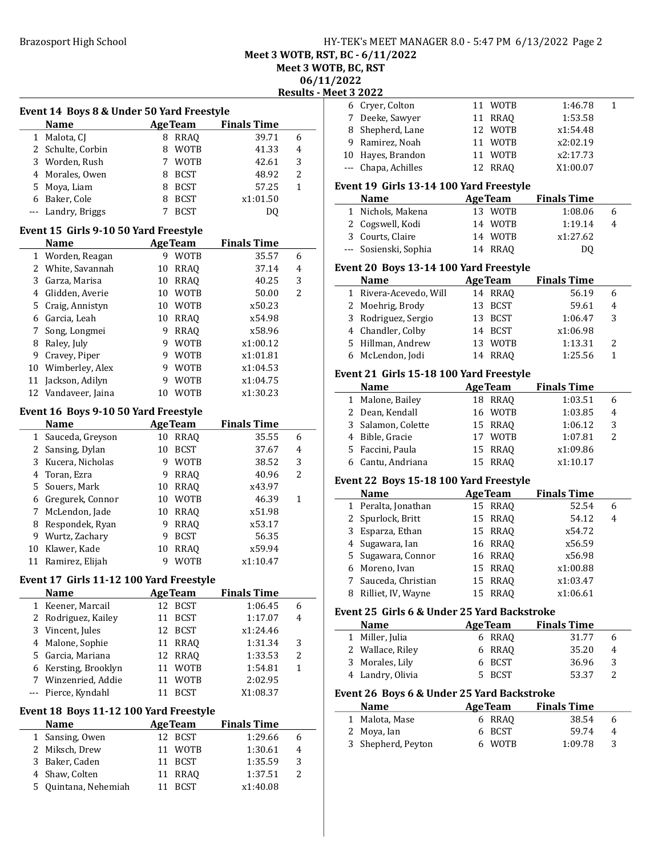# Brazosport High School **HY-TEK's MEET MANAGER 8.0 - 5:47 PM 6/13/2022** Page 2

Meet 3 WOTB, RST, BC - 6/11/2022

Meet 3 WOTB, BC, RST

06/11/2022

Results - Meet 3 2022

|                | Event 14 Boys 8 & Under 50 Yard Freestyle |        |                |                    |                |
|----------------|-------------------------------------------|--------|----------------|--------------------|----------------|
|                | <b>Name</b>                               |        | <b>AgeTeam</b> | <b>Finals Time</b> |                |
| $\mathbf{1}$   | Malota, CJ                                |        | 8 RRAQ         | 39.71              | 6              |
|                | 2 Schulte, Corbin                         | 8      | <b>WOTB</b>    | 41.33              | 4              |
|                | 3 Worden, Rush                            | 7      | <b>WOTB</b>    | 42.61              | 3              |
|                | 4 Morales, Owen                           | 8      | <b>BCST</b>    | 48.92              | $\overline{2}$ |
|                | 5 Moya, Liam                              | 8      | BCST           | 57.25              | 1              |
|                | 6 Baker, Cole                             | 8<br>7 | <b>BCST</b>    | x1:01.50           |                |
| $ -$           | Landry, Briggs                            |        | <b>BCST</b>    | DQ                 |                |
|                | Event 15 Girls 9-10 50 Yard Freestyle     |        |                |                    |                |
|                | Name                                      |        | <b>AgeTeam</b> | <b>Finals Time</b> |                |
|                | 1 Worden, Reagan                          |        | 9 WOTB         | 35.57              | 6              |
|                | 2 White, Savannah                         | 10     | RRAQ           | 37.14              | 4              |
|                | 3 Garza, Marisa                           | 10     | RRAQ           | 40.25              | 3              |
|                | 4 Glidden, Averie                         | 10     | <b>WOTB</b>    | 50.00              | $\overline{2}$ |
|                | 5 Craig, Annistyn                         | 10     | <b>WOTB</b>    | x50.23             |                |
|                | 6 Garcia, Leah                            | 10     | RRAQ           | x54.98             |                |
| 7              | Song, Longmei                             | 9      | <b>RRAQ</b>    | x58.96             |                |
| 8              | Raley, July                               | 9      | <b>WOTB</b>    | x1:00.12           |                |
|                | 9 Cravey, Piper                           | 9      | WOTB           | x1:01.81           |                |
|                | 10 Wimberley, Alex                        | 9      | WOTB           | x1:04.53           |                |
| 11             | Jackson, Adilyn                           | 9      | <b>WOTB</b>    | x1:04.75           |                |
| 12             | Vandaveer, Jaina                          |        | 10 WOTB        | x1:30.23           |                |
|                | Event 16 Boys 9-10 50 Yard Freestyle      |        |                |                    |                |
|                | <b>Name</b>                               |        | <b>AgeTeam</b> | <b>Finals Time</b> |                |
|                | 1 Sauceda, Greyson                        |        | 10 RRAQ        | 35.55              | 6              |
|                | 2 Sansing, Dylan                          | 10     | <b>BCST</b>    | 37.67              | 4              |
| 3              | Kucera, Nicholas                          | 9      | <b>WOTB</b>    | 38.52              | 3              |
|                | 4 Toran, Ezra                             | 9      | RRAQ           | 40.96              | $\overline{2}$ |
| 5              | Souers, Mark                              | 10     | <b>RRAQ</b>    | x43.97             |                |
|                | 6 Gregurek, Connor                        | 10     | <b>WOTB</b>    | 46.39              | 1              |
| 7              | McLendon, Jade                            | 10     | <b>RRAQ</b>    | x51.98             |                |
| 8              | Respondek, Ryan                           | 9      | <b>RRAQ</b>    | x53.17             |                |
|                | 9 Wurtz, Zachary                          | 9      | <b>BCST</b>    | 56.35              |                |
| 10             | Klawer, Kade                              | 10     | <b>RRAQ</b>    | x59.94             |                |
| 11             | Ramirez, Elijah                           | 9      | <b>WOTB</b>    | x1:10.47           |                |
|                |                                           |        |                |                    |                |
|                | Event 17 Girls 11-12 100 Yard Freestyle   |        |                |                    |                |
|                | <b>Name</b>                               |        | <b>AgeTeam</b> | <b>Finals Time</b> |                |
| 1              | Keener, Marcail                           | 12     | <b>BCST</b>    | 1:06.45            | 6              |
| 2              | Rodriguez, Kailey                         | 11     | <b>BCST</b>    | 1:17.07            | 4              |
| 3              | Vincent, Jules                            | 12     | <b>BCST</b>    | x1:24.46           |                |
| 4              | Malone, Sophie                            | 11     | <b>RRAQ</b>    | 1:31.34            | 3              |
| 5              | Garcia, Mariana                           | 12     | <b>RRAQ</b>    | 1:33.53            | 2              |
| 6              | Kersting, Brooklyn                        | 11     | <b>WOTB</b>    | 1:54.81            | 1              |
| 7              | Winzenried, Addie                         | 11     | WOTB           | 2:02.95            |                |
| $---$          | Pierce, Kyndahl                           | 11     | <b>BCST</b>    | X1:08.37           |                |
|                | Event 18 Boys 11-12 100 Yard Freestyle    |        |                |                    |                |
|                | <b>Name</b>                               |        | <b>AgeTeam</b> | <b>Finals Time</b> |                |
| $\mathbf{1}$   | Sansing, Owen                             |        | 12 BCST        | 1:29.66            | 6              |
|                | Miksch, Drew                              | 11     | <b>WOTB</b>    | 1:30.61            | 4              |
| 2              |                                           |        | <b>BCST</b>    | 1:35.59            | 3              |
|                | 3 Baker, Caden                            | 11     |                |                    |                |
| $\overline{4}$ | Shaw, Colten                              | 11     | <b>RRAQ</b>    | 1:37.51            | 2              |

|              | eet 3 2022                                  |    |                       |                    |        |
|--------------|---------------------------------------------|----|-----------------------|--------------------|--------|
|              | 6 Cryer, Colton                             |    | 11 WOTB               | 1:46.78            | 1      |
|              | 7 Deeke, Sawyer                             | 11 | RRAQ                  | 1:53.58            |        |
|              | 8 Shepherd, Lane                            |    | 12 WOTB               | x1:54.48           |        |
|              | 9 Ramirez, Noah                             |    | 11 WOTB               | x2:02.19           |        |
|              | 10 Hayes, Brandon                           |    | 11 WOTB               | x2:17.73           |        |
| ---          | Chapa, Achilles                             |    | 12 RRAQ               | X1:00.07           |        |
|              |                                             |    |                       |                    |        |
|              | Event 19 Girls 13-14 100 Yard Freestyle     |    |                       |                    |        |
|              | <b>Name</b>                                 |    | <b>AgeTeam</b>        | <b>Finals Time</b> |        |
|              | 1 Nichols, Makena                           |    | 13 WOTB               | 1:08.06            | 6      |
|              | 2 Cogswell, Kodi                            |    | 14 WOTB               | 1:19.14            | 4      |
|              | 3 Courts, Claire                            |    | 14 WOTB               | x1:27.62           |        |
| $--$         | Sosienski, Sophia                           |    | 14 RRAQ               | D <sub>0</sub>     |        |
|              | Event 20 Boys 13-14 100 Yard Freestyle      |    |                       |                    |        |
|              | <b>Name</b>                                 |    | <b>AgeTeam</b>        | <b>Finals Time</b> |        |
|              | 1 Rivera-Acevedo, Will                      |    | 14 RRAQ               | 56.19              | 6      |
|              | 2 Moehrig, Brody                            | 13 | <b>BCST</b>           | 59.61              | 4      |
|              | 3 Rodriguez, Sergio                         |    | 13 BCST               | 1:06.47            | 3      |
|              | 4 Chandler, Colby                           |    | 14 BCST               | x1:06.98           |        |
|              | 5 Hillman, Andrew                           |    | 13 WOTB               | 1:13.31            | 2      |
|              | 6 McLendon, Jodi                            |    | 14 RRAQ               | 1:25.56            | 1      |
|              |                                             |    |                       |                    |        |
|              | Event 21 Girls 15-18 100 Yard Freestyle     |    |                       |                    |        |
|              | Name                                        |    | <b>AgeTeam</b>        | <b>Finals Time</b> |        |
|              | 1 Malone, Bailey                            |    | 18 RRAQ               | 1:03.51            | 6      |
|              | 2 Dean, Kendall                             |    | 16 WOTB               | 1:03.85            | 4      |
|              | 3 Salamon, Colette                          |    | 15 RRAQ               | 1:06.12            | 3      |
|              |                                             |    |                       |                    |        |
|              | 4 Bible, Gracie                             |    | 17 WOTB               | 1:07.81            | 2      |
|              | 5 Faccini, Paula                            |    | 15 RRAQ               | x1:09.86           |        |
|              | 6 Cantu, Andriana                           |    | 15 RRAQ               | x1:10.17           |        |
|              |                                             |    |                       |                    |        |
|              | Event 22 Boys 15-18 100 Yard Freestyle      |    |                       |                    |        |
|              | Name                                        |    | <b>AgeTeam</b>        | <b>Finals Time</b> |        |
|              | 1 Peralta, Jonathan                         |    | 15 RRAQ               | 52.54              | 6      |
|              | 2 Spurlock, Britt                           |    | 15 RRAQ               | 54.12              | 4      |
|              | 3 Esparza, Ethan                            |    | 15 RRAQ               | x54.72             |        |
|              | 4 Sugawara, Ian                             |    | 16 RRAQ               | x56.59             |        |
| 5            | Sugawara, Connor                            |    | 16 RRAQ               | x56.98             |        |
|              | 6 Moreno, Ivan                              | 15 | <b>RRAQ</b>           | x1:00.88           |        |
| 7            | Sauceda, Christian                          |    | 15 RRAQ               | x1:03.47           |        |
| 8            | Rilliet, IV, Wayne                          | 15 | <b>RRAQ</b>           | x1:06.61           |        |
|              | Event 25 Girls 6 & Under 25 Yard Backstroke |    |                       |                    |        |
|              | <b>Name</b>                                 |    | <b>AgeTeam</b>        | <b>Finals Time</b> |        |
| $\mathbf{1}$ | Miller, Julia                               |    | 6 RRAQ                | 31.77              | 6      |
|              | 2 Wallace, Riley                            | 6  | <b>RRAQ</b>           | 35.20              | 4      |
|              | 3 Morales, Lily                             | 6  | <b>BCST</b>           | 36.96              | 3      |
|              | 4 Landry, Olivia                            | 5. | <b>BCST</b>           | 53.37              | 2      |
|              |                                             |    |                       |                    |        |
|              | Event 26 Boys 6 & Under 25 Yard Backstroke  |    |                       |                    |        |
|              | <b>Name</b>                                 |    | <b>AgeTeam</b>        | <b>Finals Time</b> |        |
|              | 1 Malota, Mase                              |    | 6 RRAQ                | 38.54              | 6      |
| 3            | 2 Moya, Ian<br>Shepherd, Peyton             | 6  | 6 BCST<br><b>WOTB</b> | 59.74<br>1:09.78   | 4<br>3 |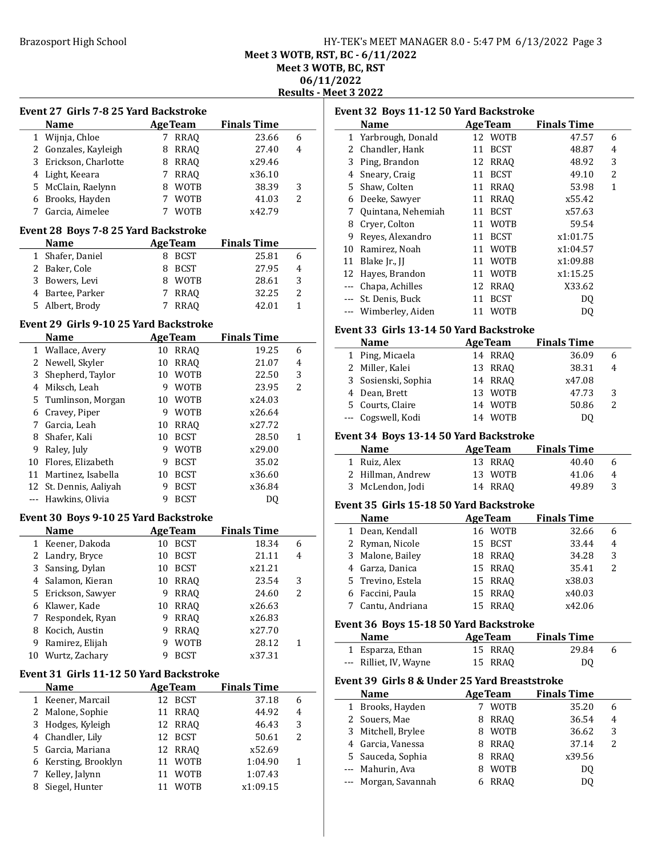# Brazosport High School **HY-TEK's MEET MANAGER 8.0 - 5:47 PM 6/13/2022** Page 3 Meet 3 WOTB, RST, BC - 6/11/2022 Meet 3 WOTB, BC, RST 06/11/2022 Results - Meet 3 2022

|                | <b>Event 27 Girls 7-8 25 Yard Backstroke</b> |    |                |                    |                | Е |
|----------------|----------------------------------------------|----|----------------|--------------------|----------------|---|
|                | <b>Name</b>                                  |    | <b>AgeTeam</b> | <b>Finals Time</b> |                |   |
| 1              | Wijnja, Chloe                                |    | 7 RRAQ         | 23.66              | 6              |   |
|                | 2 Gonzales, Kayleigh                         | 8  | RRAQ           | 27.40              | $\overline{4}$ |   |
| 3              | Erickson, Charlotte                          |    | 8 RRAQ         | x29.46             |                |   |
|                | 4 Light, Keeara                              |    | 7 RRAQ         | x36.10             |                |   |
| 5              | McClain, Raelynn                             |    | 8 WOTB         | 38.39              | 3              |   |
|                | 6 Brooks, Hayden                             |    | 7 WOTB         | 41.03              | 2              |   |
|                | 7 Garcia, Aimelee                            |    | 7 WOTB         | x42.79             |                |   |
|                | Event 28 Boys 7-8 25 Yard Backstroke         |    |                |                    |                |   |
|                | <b>Name</b>                                  |    | <b>AgeTeam</b> | <b>Finals Time</b> |                |   |
| $\mathbf{1}$   | Shafer, Daniel                               | 8  | BCST           | 25.81              | 6              |   |
| 2              | Baker, Cole                                  | 8  | BCST           | 27.95              | 4              |   |
| 3              | Bowers, Levi                                 | 8  | WOTB           | 28.61              | 3              |   |
|                | 4 Bartee, Parker                             | 7  | RRAQ           | 32.25              | $\overline{2}$ |   |
| 5              | Albert, Brody                                | 7  | <b>RRAQ</b>    | 42.01              | 1              |   |
|                | Event 29 Girls 9-10 25 Yard Backstroke       |    |                |                    |                | Е |
|                | <b>Name</b>                                  |    | <b>AgeTeam</b> | <b>Finals Time</b> |                |   |
| $\mathbf{1}$   | Wallace, Avery                               | 10 | <b>RRAQ</b>    | 19.25              | 6              |   |
| 2              | Newell, Skyler                               | 10 | <b>RRAQ</b>    | 21.07              | $\overline{4}$ |   |
| 3              | Shepherd, Taylor                             |    | 10 WOTB        | 22.50              | 3              |   |
| 4              | Miksch, Leah                                 | 9  | WOTB           | 23.95              | $\overline{2}$ |   |
| 5              | Tumlinson, Morgan                            |    | 10 WOTB        | x24.03             |                |   |
| 6              | Cravey, Piper                                | 9  | WOTB           | x26.64             |                |   |
| 7              | Garcia, Leah                                 | 10 | RRAQ           | x27.72             |                |   |
| 8              | Shafer, Kali                                 | 10 | BCST           | 28.50              | 1              | Е |
| 9              | Raley, July                                  | 9  | WOTB           | x29.00             |                |   |
|                |                                              |    |                |                    |                |   |
| 10             | Flores, Elizabeth                            | 9  | BCST           | 35.02              |                |   |
| 11             | Martinez, Isabella                           |    | 10 BCST        | x36.60             |                |   |
|                | 12 St. Dennis, Aaliyah                       | 9  | <b>BCST</b>    | x36.84             |                |   |
| $\overline{a}$ | Hawkins, Olivia                              | 9  | <b>BCST</b>    | DQ                 |                | Е |
|                | Event 30 Boys 9-10 25 Yard Backstroke        |    |                |                    |                |   |
|                | <b>Name</b>                                  |    | <b>AgeTeam</b> | <b>Finals Time</b> |                |   |
| $\mathbf{1}$   | Keener, Dakoda                               |    | 10 BCST        | 18.34              | 6              |   |
| 2              | Landry, Bryce                                | 10 | BCST           | 21.11              | 4              |   |
| 3              | Sansing, Dylan                               |    | 10 BCST        | x21.21             |                |   |
|                | 4 Salamon, Kieran                            |    | 10 RRAQ        | 23.54              | 3              |   |
| 5              | Erickson, Sawyer                             | 9  | <b>RRAQ</b>    | 24.60              | 2              |   |
| 6              | Klawer, Kade                                 | 10 | <b>RRAQ</b>    | x26.63             |                |   |
| 7              | Respondek, Ryan                              | 9  | <b>RRAQ</b>    | x26.83             |                |   |
| 8              | Kocich, Austin                               | 9  | <b>RRAQ</b>    | x27.70             |                | Е |
| 9              | Ramirez, Elijah                              | 9  | WOTB           | 28.12              | $\mathbf{1}$   |   |
| 10             | Wurtz, Zachary                               | 9  | <b>BCST</b>    | x37.31             |                |   |
|                | Event 31 Girls 11-12 50 Yard Backstroke      |    |                |                    |                |   |
|                | <b>Name</b>                                  |    | <b>AgeTeam</b> | <b>Finals Time</b> |                | Е |
| 1              | Keener, Marcail                              |    | 12 BCST        | 37.18              | 6              |   |
| 2              | Malone, Sophie                               | 11 | <b>RRAQ</b>    | 44.92              | 4              |   |
| 3              | Hodges, Kyleigh                              | 12 | <b>RRAQ</b>    | 46.43              | 3              |   |
| $\overline{4}$ | Chandler, Lily                               | 12 | <b>BCST</b>    | 50.61              | $\overline{c}$ |   |
| 5              | Garcia, Mariana                              | 12 | RRAQ           | x52.69             |                |   |
| 6              | Kersting, Brooklyn                           | 11 | WOTB           | 1:04.90            | $\mathbf{1}$   |   |
| 7              | Kelley, Jalynn                               | 11 | WOTB           | 1:07.43            |                |   |
| 8              |                                              | 11 | <b>WOTB</b>    |                    |                |   |
|                | Siegel, Hunter                               |    |                | x1:09.15           |                |   |

| Event 32 Boys 11-12 50 Yard Backstroke |                    |                   |                    |   |  |  |
|----------------------------------------|--------------------|-------------------|--------------------|---|--|--|
|                                        | Name               | <b>AgeTeam</b>    | <b>Finals Time</b> |   |  |  |
| 1                                      | Yarbrough, Donald  | 12 WOTB           | 47.57              | 6 |  |  |
|                                        | 2 Chandler, Hank   | <b>BCST</b><br>11 | 48.87              | 4 |  |  |
| 3                                      | Ping, Brandon      | RRAO<br>12        | 48.92              | 3 |  |  |
| 4                                      | Sneary, Craig      | <b>BCST</b><br>11 | 49.10              | 2 |  |  |
|                                        | 5 Shaw, Colten     | <b>RRAO</b><br>11 | 53.98              | 1 |  |  |
| 6                                      | Deeke, Sawyer      | <b>RRAO</b><br>11 | x55.42             |   |  |  |
| 7                                      | Quintana, Nehemiah | <b>BCST</b><br>11 | x57.63             |   |  |  |
| 8                                      | Cryer, Colton      | WOTB<br>11        | 59.54              |   |  |  |
| 9                                      | Reyes, Alexandro   | <b>BCST</b><br>11 | x1:01.75           |   |  |  |
| 10                                     | Ramirez, Noah      | 11 WOTB           | x1:04.57           |   |  |  |
| 11                                     | Blake Jr., JJ      | 11 WOTB           | x1:09.88           |   |  |  |
| 12                                     | Hayes, Brandon     | <b>WOTB</b><br>11 | x1:15.25           |   |  |  |
|                                        | Chapa, Achilles    | RRAO<br>12        | X33.62             |   |  |  |
|                                        | St. Denis, Buck    | <b>BCST</b><br>11 | DO.                |   |  |  |
|                                        | Wimberley, Aiden   | WOTB<br>11        | DO                 |   |  |  |
|                                        |                    |                   |                    |   |  |  |

# Event 33 Girls 13-14 50 Yard Backstroke

| <b>Name</b>         | <b>Age Team</b>   | <b>Finals Time</b> |   |
|---------------------|-------------------|--------------------|---|
| 1 Ping, Micaela     | 14 RRAO           | 36.09              | 6 |
| 2 Miller, Kalei     | 13 RRAO           | 38.31              | 4 |
| 3 Sosienski, Sophia | 14 RRAO           | x47.08             |   |
| 4 Dean, Brett       | 13 WOTB           | 47.73              | 3 |
| 5 Courts, Claire    | 14 WOTB           | 50.86              | 2 |
| --- Cogswell, Kodi  | <b>WOTB</b><br>14 | DΟ                 |   |

#### Event 34 Boys 13-14 50 Yard Backstroke

| <b>Name</b>       | <b>AgeTeam</b> | <b>Finals Time</b> |   |
|-------------------|----------------|--------------------|---|
| 1 Ruiz, Alex      | 13 RRAO        | 40.40              | 6 |
| 2 Hillman, Andrew | 13 WOTB        | 41.06              | 4 |
| 3 McLendon, Jodi  | 14 RRAO        | 49.89              | ર |

# Event 35 Girls 15-18 50 Yard Backstroke

| <b>Name</b>       | <b>AgeTeam</b> | <b>Finals Time</b> |               |
|-------------------|----------------|--------------------|---------------|
| 1 Dean, Kendall   | 16 WOTB        | 32.66              | 6             |
| 2 Ryman, Nicole   | 15 BCST        | 33.44              | 4             |
| 3 Malone, Bailey  | <b>18 RRAO</b> | 34.28              | 3             |
| 4 Garza, Danica   | 15 RRAO        | 35.41              | $\mathcal{L}$ |
| 5 Trevino, Estela | 15 RRAO        | x38.03             |               |
| 6 Faccini, Paula  | 15 RRAO        | x40.03             |               |
| 7 Cantu, Andriana | RRAO<br>15     | x42.06             |               |

#### Event 36 Boys 15-18 50 Yard Backstroke

| <b>Name</b>            | <b>AgeTeam</b> | <b>Finals Time</b> |  |
|------------------------|----------------|--------------------|--|
| 1 Esparza, Ethan       | 15 RRAO        | 29.84              |  |
| --- Rilliet, IV, Wayne | 15 RRAO        | D <sub>0</sub>     |  |

### Event 39 Girls 8 & Under 25 Yard Breaststroke

|          | <b>Name</b>        | <b>AgeTeam</b> | <b>Finals Time</b> |               |
|----------|--------------------|----------------|--------------------|---------------|
|          | 1 Brooks, Hayden   | <b>WOTB</b>    | 35.20              | 6             |
|          | 2 Souers, Mae      | <b>RRAO</b>    | 36.54              | 4             |
|          | 3 Mitchell, Brylee | <b>WOTB</b>    | 36.62              | 3             |
|          | 4 Garcia, Vanessa  | RRAO           | 37.14              | $\mathcal{P}$ |
|          | 5 Sauceda, Sophia  | RRAO           | x39.56             |               |
|          | --- Mahurin, Ava   | <b>WOTB</b>    | DO.                |               |
| $\cdots$ | Morgan, Savannah   | <b>RRAO</b>    | DO                 |               |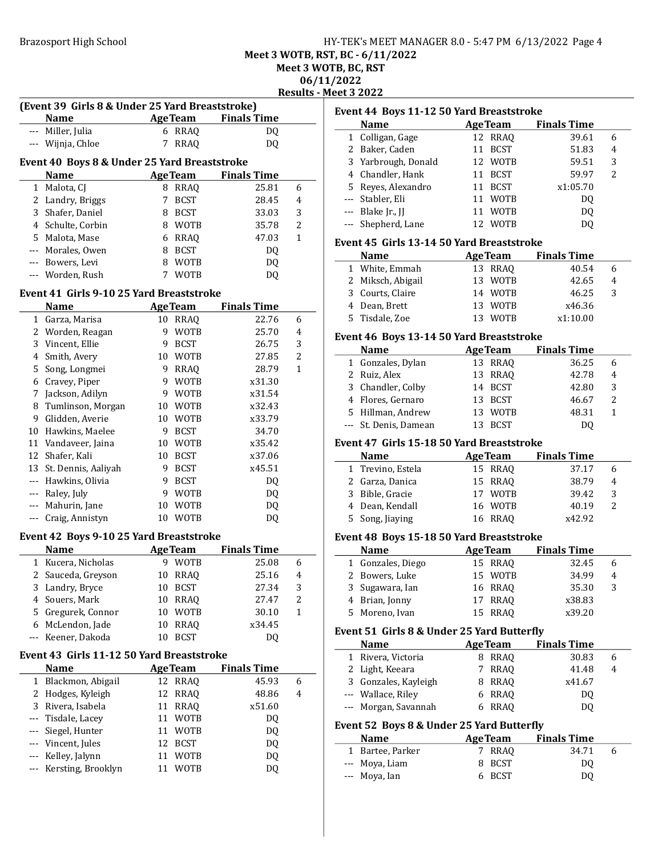# Brazosport High School **HY-TEK's MEET MANAGER 8.0 - 5:47 PM 6/13/2022** Page 4 Meet 3 WOTB, RST, BC - 6/11/2022

Meet 3 WOTB, BC, RST

06/11/2022

Results - Meet 3 2022

|     |                                                 |    |                |                            | Desuits - Mee |    |
|-----|-------------------------------------------------|----|----------------|----------------------------|---------------|----|
|     | (Event 39 Girls 8 & Under 25 Yard Breaststroke) |    |                |                            |               |    |
|     | <b>Name</b>                                     |    | <b>AgeTeam</b> | <b>Finals Time</b>         |               | Ev |
|     | --- Miller, Julia                               |    | 6 RRAQ         | DQ                         |               |    |
|     | --- Wijnja, Chloe                               | 7  | <b>RRAQ</b>    | DQ                         |               |    |
|     |                                                 |    |                |                            |               |    |
|     | Event 40 Boys 8 & Under 25 Yard Breaststroke    |    |                |                            |               |    |
|     | Name                                            |    |                | <b>AgeTeam</b> Finals Time |               |    |
|     | 1 Malota, CJ                                    |    | 8 RRAQ         | 25.81                      | 6             |    |
|     | 2 Landry, Briggs                                | 7  | <b>BCST</b>    | 28.45                      | 4             |    |
| 3   | Shafer, Daniel                                  |    | 8 BCST         | 33.03                      | 3             |    |
|     | 4 Schulte, Corbin                               |    | 8 WOTB         | 35.78                      | 2             |    |
|     | 5 Malota, Mase                                  |    | 6 RRAQ         | 47.03                      | 1             | Eν |
|     | --- Morales, Owen                               |    | 8 BCST         | DQ                         |               |    |
|     | --- Bowers, Levi                                |    | 8 WOTB         | DQ                         |               |    |
|     | --- Worden, Rush                                | 7  | WOTB           | DQ                         |               |    |
|     |                                                 |    |                |                            |               |    |
|     | Event 41 Girls 9-10 25 Yard Breaststroke        |    |                |                            |               |    |
|     | <b>Name</b>                                     |    | <b>AgeTeam</b> | <b>Finals Time</b>         |               |    |
|     | 1 Garza, Marisa                                 |    | 10 RRAQ        | 22.76                      | 6             |    |
|     | 2 Worden, Reagan                                |    | 9 WOTB         | 25.70                      | 4             | E٨ |
|     | 3 Vincent, Ellie                                | 9  | <b>BCST</b>    | 26.75                      | 3             |    |
|     | 4 Smith, Avery                                  |    | 10 WOTB        | 27.85                      | 2             |    |
| 5   | Song, Longmei                                   |    | 9 RRAQ         | 28.79                      | 1             |    |
|     | 6 Cravey, Piper                                 |    | 9 WOTB         | x31.30                     |               |    |
|     | 7 Jackson, Adilyn                               |    | 9 WOTB         | x31.54                     |               |    |
| 8   | Tumlinson, Morgan                               |    | 10 WOTB        | x32.43                     |               |    |
| 9   | Glidden, Averie                                 |    | 10 WOTB        | x33.79                     |               |    |
|     | 10 Hawkins, Maelee                              |    | 9 BCST         | 34.70                      |               |    |
|     | 11 Vandaveer, Jaina                             |    | 10 WOTB        | x35.42                     |               | Ev |
|     | 12 Shafer, Kali                                 |    | 10 BCST        | x37.06                     |               |    |
|     | 13 St. Dennis, Aaliyah                          |    | 9 BCST         | x45.51                     |               |    |
|     | --- Hawkins, Olivia                             |    | 9 BCST         | DQ                         |               |    |
|     | --- Raley, July                                 |    | 9 WOTB         | DQ                         |               |    |
|     | --- Mahurin, Jane                               | 10 | <b>WOTB</b>    | DQ                         |               |    |
|     | --- Craig, Annistyn                             |    | 10 WOTB        | DQ                         |               |    |
|     |                                                 |    |                |                            |               |    |
|     | Event 42 Boys 9-10 25 Yard Breaststroke         |    |                |                            |               | Eν |
|     | <b>Name</b>                                     |    | <b>AgeTeam</b> | <b>Finals Time</b>         |               |    |
| 1   | Kucera, Nicholas                                |    | 9 WOTB         | 25.08                      | 6             |    |
|     | 2 Sauceda, Greyson                              |    | 10 RRAQ        | 25.16                      | 4             |    |
|     | 3 Landry, Bryce                                 |    | 10 BCST        | 27.34                      | 3             |    |
| 4   | Souers, Mark                                    | 10 | <b>RRAQ</b>    | 27.47                      | 2             |    |
|     | 5 Gregurek, Connor                              | 10 | <b>WOTB</b>    | 30.10                      | $\mathbf{1}$  |    |
|     | 6 McLendon, Jade                                | 10 | <b>RRAQ</b>    | x34.45                     |               | E٨ |
| --- | Keener, Dakoda                                  | 10 | <b>BCST</b>    | DQ                         |               |    |
|     | Event 43 Girls 11-12 50 Yard Breaststroke       |    |                |                            |               |    |
|     | <b>Name</b>                                     |    | <b>AgeTeam</b> | <b>Finals Time</b>         |               |    |
|     | 1 Blackmon, Abigail                             |    | 12 RRAQ        | 45.93                      | 6             |    |
|     | 2 Hodges, Kyleigh                               | 12 | <b>RRAQ</b>    | 48.86                      | 4             |    |
| 3   | Rivera, Isabela                                 | 11 | <b>RRAQ</b>    | x51.60                     |               |    |
| --- | Tisdale, Lacey                                  | 11 | WOTB           | DQ                         |               |    |
| --- | Siegel, Hunter                                  | 11 | WOTB           | DQ                         |               | E٨ |
|     | --- Vincent, Jules                              | 12 | <b>BCST</b>    |                            |               |    |
|     | Kelley, Jalynn                                  | 11 |                | DQ                         |               |    |
|     |                                                 |    | <b>WOTB</b>    | DQ                         |               |    |
| --- | Kersting, Brooklyn                              | 11 | <b>WOTB</b>    | DQ                         |               |    |

|             |                                            | Event 44 Boys 11-12 50 Yard Breaststroke |                    |   |
|-------------|--------------------------------------------|------------------------------------------|--------------------|---|
|             | <b>Name</b>                                | <b>AgeTeam</b>                           | <b>Finals Time</b> |   |
|             | 1 Colligan, Gage                           | 12 RRAQ                                  | 39.61              | 6 |
|             | 2 Baker, Caden                             | 11 BCST                                  | 51.83              | 4 |
|             | 3 Yarbrough, Donald                        | 12 WOTB                                  | 59.51              | 3 |
|             | 4 Chandler, Hank                           | 11 BCST                                  | 59.97              | 2 |
| 5           | Reyes, Alexandro                           | 11 BCST                                  | x1:05.70           |   |
|             | --- Stabler, Eli                           | 11 WOTB                                  | DQ                 |   |
|             | --- Blake Jr., JJ                          | 11 WOTB                                  | DQ                 |   |
| $--$        | Shepherd, Lane                             | 12<br><b>WOTB</b>                        | DQ                 |   |
|             |                                            |                                          |                    |   |
|             | Event 45 Girls 13-14 50 Yard Breaststroke  |                                          |                    |   |
|             | <b>Name</b>                                | <b>AgeTeam</b>                           | <b>Finals Time</b> |   |
| 1           | White, Emmah                               | 13 RRAQ                                  | 40.54              | 6 |
|             | 2 Miksch, Abigail                          | 13<br>WOTB                               | 42.65              | 4 |
|             | 3 Courts, Claire                           | 14 WOTB                                  | 46.25              | 3 |
|             | 4 Dean, Brett                              | 13 WOTB                                  | x46.36             |   |
| 5           | Tisdale, Zoe                               | 13 WOTB                                  | x1:10.00           |   |
|             | Event 46 Boys 13-14 50 Yard Breaststroke   |                                          |                    |   |
|             | <b>Name</b>                                | <b>AgeTeam</b>                           | <b>Finals Time</b> |   |
|             | 1 Gonzales, Dylan                          | 13 RRAQ                                  | 36.25              | 6 |
|             | 2 Ruiz, Alex                               | 13<br>RRAQ                               | 42.78              | 4 |
| 3           | Chandler, Colby                            | 14 BCST                                  | 42.80              | 3 |
|             | 4 Flores, Gernaro                          | 13 BCST                                  | 46.67              | 2 |
|             | 5 Hillman, Andrew                          | 13 WOTB                                  | 48.31              | 1 |
|             | --- St. Denis, Damean                      | 13 BCST                                  | DQ                 |   |
|             |                                            |                                          |                    |   |
|             | Event 47 Girls 15-18 50 Yard Breaststroke  |                                          |                    |   |
|             | <b>Name</b>                                | <b>AgeTeam</b>                           | <b>Finals Time</b> |   |
|             |                                            |                                          |                    |   |
|             | 1 Trevino, Estela                          | 15 RRAQ                                  | 37.17              | 6 |
|             | 2 Garza, Danica                            | 15 RRAQ                                  | 38.79              | 4 |
|             | 3 Bible, Gracie                            | 17 WOTB                                  | 39.42              | 3 |
|             | 4 Dean, Kendall                            | <b>WOTB</b><br>16                        | 40.19              | 2 |
| 5           | Song, Jiaying                              | RRAQ<br>16                               | x42.92             |   |
|             |                                            |                                          |                    |   |
|             | Event 48 Boys 15-18 50 Yard Breaststroke   |                                          |                    |   |
|             | <b>Name</b>                                | <b>AgeTeam</b>                           | <b>Finals Time</b> |   |
| $\mathbf 1$ | Gonzales, Diego                            | 15 RRAQ                                  | 32.45              | 6 |
| 2           | Bowers, Luke                               | 15 WOTB                                  | 34.99              | 4 |
|             | 3 Sugawara, Ian                            | 16 RRAQ                                  | 35.30              | 3 |
| 4           | Brian, Jonny                               | 17<br>RRAQ                               | x38.83             |   |
| 5           | Moreno, Ivan                               | 15<br>RRAQ                               | x39.20             |   |
|             | Event 51 Girls 8 & Under 25 Yard Butterfly |                                          |                    |   |
|             | <b>Name</b>                                | <b>AgeTeam</b>                           | <b>Finals Time</b> |   |
| 1           | Rivera, Victoria                           | 8 RRAQ                                   | 30.83              | 6 |
|             | 2 Light, Keeara                            | 7<br><b>RRAQ</b>                         | 41.48              | 4 |
|             | 3 Gonzales, Kayleigh                       | 8 RRAQ                                   | x41.67             |   |
|             | --- Wallace, Riley                         | 6 RRAQ                                   | DQ                 |   |
|             | --- Morgan, Savannah                       | RRAQ<br>6                                | DQ                 |   |
|             |                                            |                                          |                    |   |
|             | Event 52 Boys 8 & Under 25 Yard Butterfly  |                                          |                    |   |
|             | Name                                       | <b>AgeTeam</b>                           | <b>Finals Time</b> |   |
|             | 1 Bartee, Parker                           | <b>RRAQ</b><br>7                         | 34.71              | 6 |
| ---<br>---  | Moya, Liam<br>Moya, Ian                    | <b>BCST</b><br>8<br><b>BCST</b><br>6     | DQ<br>DQ           |   |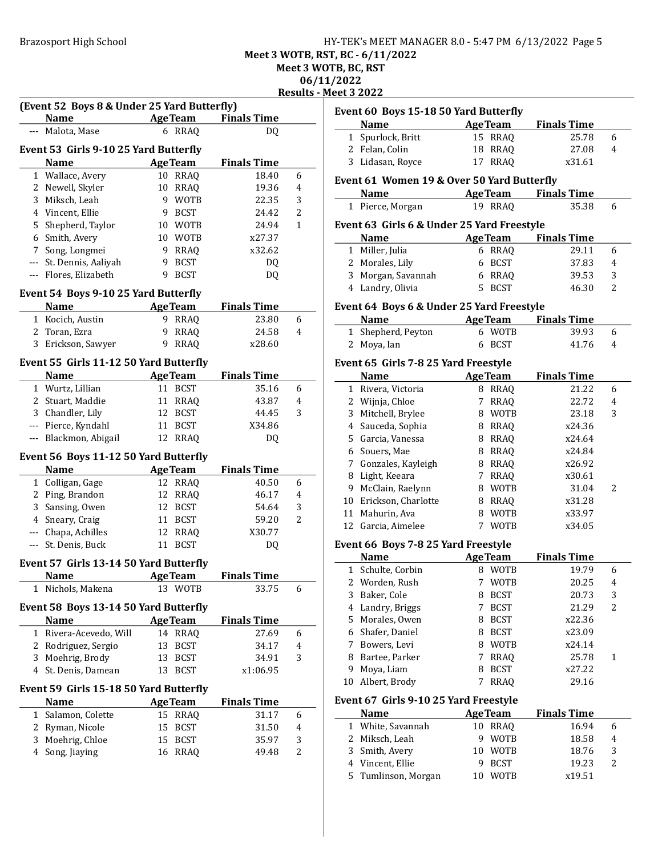# Brazosport High School **HY-TEK's MEET MANAGER 8.0 - 5:47 PM 6/13/2022** Page 5 Meet 3 WOTB, RST, BC - 6/11/2022

Meet 3 WOTB, BC, RST

06/11/2022

Results - Meet 3 2022

|   |                                        | (Event 52 Boys 8 & Under 25 Yard Butterfly) |                    |                |
|---|----------------------------------------|---------------------------------------------|--------------------|----------------|
|   | <b>Name</b>                            | <b>Example 2</b> Age Team                   | <b>Finals Time</b> |                |
|   | Malota, Mase                           | 6 RRAQ                                      | DQ                 |                |
|   | Event 53 Girls 9-10 25 Yard Butterfly  |                                             |                    |                |
|   | <b>Name</b>                            | <b>AgeTeam</b>                              | <b>Finals Time</b> |                |
|   | 1 Wallace, Avery                       | 10 RRAQ                                     | 18.40              | 6              |
|   | 2 Newell, Skyler                       | RRAQ<br>10                                  | 19.36              | 4              |
| 3 | Miksch, Leah                           | 9<br><b>WOTB</b>                            | 22.35              | 3              |
|   | 4 Vincent, Ellie                       | <b>BCST</b><br>9                            | 24.42              | 2              |
|   | 5 Shepherd, Taylor                     | <b>WOTB</b><br>10                           | 24.94              | 1              |
|   | 6 Smith, Avery                         | <b>WOTB</b><br>10                           | x27.37             |                |
|   | 7 Song, Longmei                        | 9<br>RRAQ                                   | x32.62             |                |
|   | --- St. Dennis, Aaliyah                | <b>BCST</b><br>9                            | DQ                 |                |
|   | --- Flores, Elizabeth                  | <b>BCST</b><br>9                            |                    |                |
|   |                                        |                                             | DQ                 |                |
|   | Event 54 Boys 9-10 25 Yard Butterfly   |                                             |                    |                |
|   | <b>Name</b>                            | <b>AgeTeam</b>                              | <b>Finals Time</b> |                |
|   | 1 Kocich, Austin                       | 9 RRAQ                                      | 23.80              | 6              |
|   | 2 Toran, Ezra                          | 9<br><b>RRAQ</b>                            | 24.58              | 4              |
| 3 | Erickson, Sawyer                       | 9<br><b>RRAQ</b>                            | x28.60             |                |
|   |                                        |                                             |                    |                |
|   | Event 55 Girls 11-12 50 Yard Butterfly |                                             |                    |                |
|   | <b>Name</b>                            | <b>AgeTeam</b>                              | <b>Finals Time</b> |                |
|   | 1 Wurtz, Lillian                       | 11 BCST                                     | 35.16              | 6              |
|   | 2 Stuart, Maddie                       | 11 RRAQ                                     | 43.87              | 4              |
|   |                                        | 12 BCST                                     | 44.45              | 3              |
|   | 3 Chandler, Lily                       |                                             |                    |                |
|   | --- Pierce, Kyndahl                    | 11 BCST                                     | X34.86             |                |
|   | --- Blackmon, Abigail                  | 12 RRAQ                                     | DQ                 |                |
|   |                                        |                                             |                    |                |
|   | Event 56 Boys 11-12 50 Yard Butterfly  |                                             |                    |                |
|   | <b>Name</b>                            | <b>AgeTeam</b>                              | <b>Finals Time</b> |                |
|   | 1 Colligan, Gage                       | 12 RRAQ                                     | 40.50              | 6              |
|   | 2 Ping, Brandon                        | 12 RRAQ                                     | 46.17              | 4              |
|   | 3 Sansing, Owen                        | 12 BCST                                     | 54.64              | 3              |
|   | 4 Sneary, Craig                        | 11 BCST                                     | 59.20              | $\overline{2}$ |
|   | --- Chapa, Achilles                    | 12 RRAQ                                     | X30.77             |                |
|   | --- St. Denis, Buck                    | 11 BCST                                     | DQ                 |                |
|   | Event 57 Girls 13-14 50 Yard Butterfly |                                             |                    |                |
|   | <b>Name</b>                            | <b>AgeTeam</b>                              | <b>Finals Time</b> |                |
| 1 | Nichols, Makena                        | 13 WOTB                                     | 33.75              | 6              |
|   |                                        |                                             |                    |                |
|   | Event 58 Boys 13-14 50 Yard Butterfly  |                                             |                    |                |
|   | Name                                   | <b>AgeTeam</b>                              | <b>Finals Time</b> |                |
| 1 | Rivera-Acevedo, Will                   | 14 RRAQ                                     | 27.69              | 6              |
|   | 2 Rodriguez, Sergio                    | 13<br><b>BCST</b>                           | 34.17              | 4              |
| 3 | Moehrig, Brody                         | 13<br><b>BCST</b>                           | 34.91              | 3              |
|   | 4 St. Denis, Damean                    | 13<br><b>BCST</b>                           | x1:06.95           |                |
|   | Event 59 Girls 15-18 50 Yard Butterfly |                                             |                    |                |
|   | <b>Name</b>                            | <b>AgeTeam</b>                              | <b>Finals Time</b> |                |
|   | 1 Salamon, Colette                     | 15 RRAQ                                     | 31.17              | 6              |
|   | 2 Ryman, Nicole                        | 15<br><b>BCST</b>                           | 31.50              | 4              |
|   | 3 Moehrig, Chloe                       | 15<br>BCST                                  | 35.97              | 3              |

|                | et 3 2022                                            |             |                |                            |                |
|----------------|------------------------------------------------------|-------------|----------------|----------------------------|----------------|
|                | Event 60 Boys 15-18 50 Yard Butterfly                |             |                |                            |                |
|                | <b>Name</b>                                          |             | <b>AgeTeam</b> | <b>Finals Time</b>         |                |
| 1              | Spurlock, Britt                                      |             | 15 RRAQ        | 25.78                      | 6              |
|                | 2 Felan, Colin                                       | 18          | <b>RRAQ</b>    | 27.08                      | 4              |
| 3              | Lidasan, Royce                                       | 17          | <b>RRAQ</b>    | x31.61                     |                |
|                | Event 61 Women 19 & Over 50 Yard Butterfly           |             |                |                            |                |
|                | <b>Name</b>                                          |             |                | <b>AgeTeam</b> Finals Time |                |
|                | 1 Pierce, Morgan                                     |             | 19 RRAQ        | 35.38                      | 6              |
|                |                                                      |             |                |                            |                |
|                | Event 63 Girls 6 & Under 25 Yard Freestyle           |             |                |                            |                |
|                | <b>Name</b>                                          |             | <b>AgeTeam</b> | <b>Finals Time</b>         |                |
| 1              | Miller, Julia                                        |             | 6 RRAQ         | 29.11                      | 6              |
|                | 2 Morales, Lily                                      | 6           | BCST           | 37.83                      | 4              |
| 3              | Morgan, Savannah                                     |             | 6 RRAQ         | 39.53                      | 3              |
| 4              | Landry, Olivia                                       | 5           | <b>BCST</b>    | 46.30                      | 2              |
|                | <b>Event 64 Boys 6 &amp; Under 25 Yard Freestyle</b> |             |                |                            |                |
|                | <b>Name</b>                                          |             | <b>AgeTeam</b> | <b>Finals Time</b>         |                |
| 1              | Shepherd, Peyton                                     |             | 6 WOTB         | 39.93                      | 6              |
| 2              | Moya, Ian                                            | 6           | <b>BCST</b>    | 41.76                      | 4              |
|                |                                                      |             |                |                            |                |
|                | Event 65 Girls 7-8 25 Yard Freestyle                 |             |                |                            |                |
|                | <b>Name</b>                                          |             | <b>AgeTeam</b> | <b>Finals Time</b>         |                |
| $\mathbf{1}$   | Rivera, Victoria                                     |             | 8 RRAQ         | 21.22                      | 6              |
| 2              | Wijnja, Chloe                                        | $7^{\circ}$ | <b>RRAQ</b>    | 22.72                      | 4              |
| 3              | Mitchell, Brylee                                     |             | 8 WOTB         | 23.18                      | 3              |
| $\overline{4}$ | Sauceda, Sophia                                      |             | 8 RRAQ         | x24.36                     |                |
|                | 5 Garcia, Vanessa                                    |             | 8 RRAQ         | x24.64                     |                |
| 6              | Souers, Mae                                          |             | 8 RRAQ         | x24.84                     |                |
| 7              | Gonzales, Kayleigh                                   |             | 8 RRAQ         | x26.92                     |                |
| 8              | Light, Keeara                                        | 7           | <b>RRAQ</b>    | x30.61                     |                |
| 9              | McClain, Raelynn                                     | 8           | WOTB           | 31.04                      | 2              |
| 10             | Erickson, Charlotte                                  | 8           | <b>RRAQ</b>    | x31.28                     |                |
| 11             | Mahurin, Ava                                         | 8           | <b>WOTB</b>    | x33.97                     |                |
|                | 12 Garcia, Aimelee                                   |             | 7 WOTB         | x34.05                     |                |
|                | Event 66 Boys 7-8 25 Yard Freestyle                  |             |                |                            |                |
|                | <b>Name</b>                                          |             | <b>AgeTeam</b> | <b>Finals Time</b>         |                |
| 1              | Schulte, Corbin                                      |             | 8 WOTB         | 19.79                      | 6              |
| 2              | Worden, Rush                                         | 7           | <b>WOTB</b>    | 20.25                      | 4              |
| 3              | Baker, Cole                                          | 8           | <b>BCST</b>    | 20.73                      | 3              |
| 4              | Landry, Briggs                                       | 7           | <b>BCST</b>    | 21.29                      | 2              |
| 5              | Morales, Owen                                        | 8           | <b>BCST</b>    | x22.36                     |                |
| 6              | Shafer, Daniel                                       | 8           | <b>BCST</b>    | x23.09                     |                |
| 7              | Bowers, Levi                                         | 8           | WOTB           | x24.14                     |                |
| 8              | Bartee, Parker                                       | 7           | RRAQ           | 25.78                      | $\mathbf{1}$   |
| 9              | Moya, Liam                                           | 8           | <b>BCST</b>    | x27.22                     |                |
| 10             | Albert, Brody                                        | 7           | <b>RRAQ</b>    | 29.16                      |                |
|                |                                                      |             |                |                            |                |
|                | Event 67 Girls 9-10 25 Yard Freestyle                |             |                |                            |                |
|                | <b>Name</b>                                          |             | <b>AgeTeam</b> | <b>Finals Time</b>         |                |
| 1              | White, Savannah                                      | 10          | <b>RRAQ</b>    | 16.94                      | 6              |
| 2              | Miksch, Leah                                         | 9           | WOTB           | 18.58                      | 4              |
| 3              | Smith, Avery                                         | 10          | <b>WOTB</b>    | 18.76                      | 3              |
| 4              | Vincent Ellie                                        |             | 9 RCST         | 1923                       | $\overline{2}$ |

4 Vincent, Ellie 9 BCST 19.23 2 5 x19.51 Tumlinson, Morgan 10 WOTB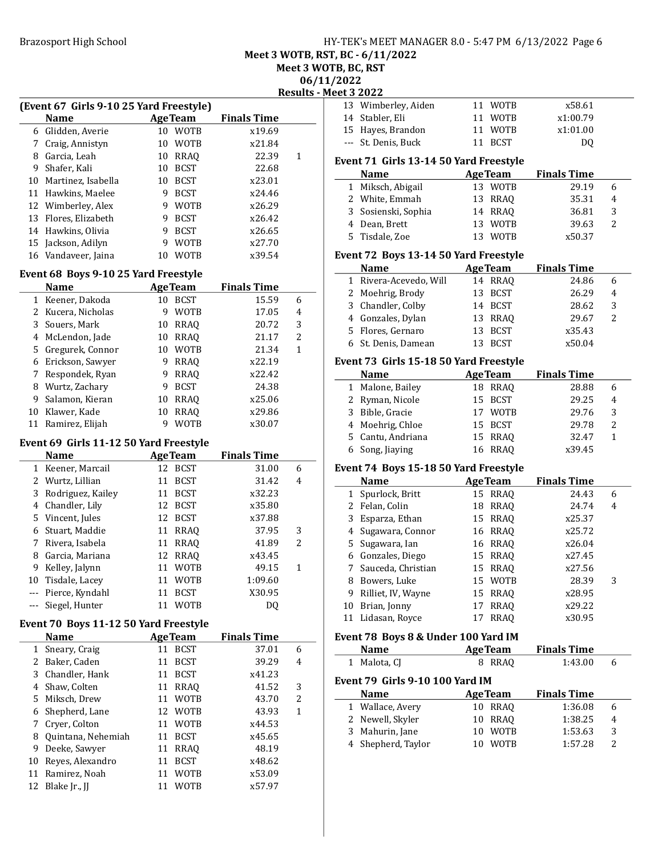# Brazosport High School **HY-TEK's MEET MANAGER 8.0 - 5:47 PM 6/13/2022** Page 6

Meet 3 WOTB, RST, BC - 6/11/2022

Meet 3 WOTB, BC, RST

 $202$ 

|              |                                                        |    |                |                    |                        | 06/11/202                |
|--------------|--------------------------------------------------------|----|----------------|--------------------|------------------------|--------------------------|
|              |                                                        |    |                |                    | <b>Results - Meet:</b> | 13                       |
|              | (Event 67 Girls 9-10 25 Yard Freestyle)<br><b>Name</b> |    | <b>AgeTeam</b> | <b>Finals Time</b> |                        | 14                       |
|              | 6 Glidden, Averie                                      |    | 10 WOTB        | x19.69             |                        | 15                       |
|              |                                                        |    | 10 WOTB        |                    |                        |                          |
|              | 7 Craig, Annistyn                                      |    |                | x21.84             |                        |                          |
|              | 8 Garcia, Leah                                         |    | 10 RRAQ        | 22.39              | $\mathbf{1}$           | Eve                      |
|              | 9 Shafer, Kali                                         |    | 10 BCST        | 22.68              |                        |                          |
|              | 10 Martinez, Isabella                                  |    | 10 BCST        | x23.01             |                        |                          |
|              | 11 Hawkins, Maelee                                     |    | 9 BCST         | x24.46             |                        |                          |
|              | 12 Wimberley, Alex                                     |    | 9 WOTB         | x26.29             |                        | ă                        |
|              | 13 Flores, Elizabeth                                   |    | 9 BCST         | x26.42             |                        |                          |
|              | 14 Hawkins, Olivia                                     |    | 9 BCST         | x26.65             |                        |                          |
|              | 15 Jackson, Adilyn                                     | 9  | <b>WOTB</b>    | x27.70             |                        |                          |
|              | 16 Vandaveer, Jaina                                    |    | 10 WOTB        | x39.54             |                        | Eve                      |
|              | <b>Event 68 Boys 9-10 25 Yard Freestyle</b>            |    |                |                    |                        |                          |
|              | <b>Name</b>                                            |    | <b>AgeTeam</b> | <b>Finals Time</b> |                        |                          |
|              | 1 Keener, Dakoda                                       |    | 10 BCST        | 15.59              | 6                      |                          |
|              | 2 Kucera, Nicholas                                     |    | 9 WOTB         | 17.05              | $\overline{4}$         | Ξ                        |
|              | 3 Souers, Mark                                         |    | 10 RRAQ        | 20.72              | 3                      | $\overline{\phantom{a}}$ |
|              | 4 McLendon, Jade                                       |    | 10 RRAQ        | 21.17              | 2                      | Ē                        |
|              | 5 Gregurek, Connor                                     |    | 10 WOTB        | 21.34              | $\mathbf{1}$           | f                        |
|              | 6 Erickson, Sawyer                                     |    | 9 RRAQ         | x22.19             |                        | Eve                      |
|              |                                                        |    |                | x22.42             |                        |                          |
| 7            | Respondek, Ryan                                        |    | 9 RRAQ         |                    |                        |                          |
|              | 8 Wurtz, Zachary                                       |    | 9 BCST         | 24.38              |                        |                          |
| 9            | Salamon, Kieran                                        |    | 10 RRAQ        | x25.06             |                        |                          |
|              | 10 Klawer, Kade                                        | 10 | <b>RRAQ</b>    | x29.86             |                        |                          |
|              | 11 Ramirez, Elijah                                     | 9  | <b>WOTB</b>    | x30.07             |                        | $\overline{\mathcal{L}}$ |
|              | Event 69 Girls 11-12 50 Yard Freestyle                 |    |                |                    |                        |                          |
|              | <b>Name</b>                                            |    | <b>AgeTeam</b> | <b>Finals Time</b> |                        |                          |
|              | 1 Keener, Marcail                                      |    | 12 BCST        | 31.00              | 6                      | Eve                      |
|              | 2 Wurtz, Lillian                                       |    | 11 BCST        | 31.42              | 4                      |                          |
|              | 3 Rodriguez, Kailey                                    |    | 11 BCST        | x32.23             |                        |                          |
|              | 4 Chandler, Lily                                       |    | 12 BCST        | x35.80             |                        | ż                        |
|              | 5 Vincent, Jules                                       |    | 12 BCST        | x37.88             |                        |                          |
|              | 6 Stuart, Maddie                                       |    | 11 RRAQ        | 37.95              | 3                      |                          |
|              | 7 Rivera, Isabela                                      |    | 11 RRAQ        | 41.89              | $\overline{2}$         | Ę                        |
|              | 8 Garcia, Mariana                                      |    | 12 RRAQ        | x43.45             |                        |                          |
|              | 9 Kelley, Jalynn                                       |    | 11 WOTB        | 49.15              | 1                      | 7                        |
| 10           | Tisdale, Lacey                                         | 11 | <b>WOTB</b>    | 1:09.60            |                        | ξ                        |
| $--$         | Pierce, Kyndahl                                        | 11 | <b>BCST</b>    | X30.95             |                        | ć                        |
| ---          | Siegel, Hunter                                         | 11 | <b>WOTB</b>    | DQ                 |                        | 10                       |
|              |                                                        |    |                |                    |                        | 11                       |
|              | Event 70 Boys 11-12 50 Yard Freestyle                  |    |                |                    |                        |                          |
|              | <b>Name</b>                                            |    | <b>AgeTeam</b> | <b>Finals Time</b> |                        | Eve                      |
| $\mathbf{1}$ | Sneary, Craig                                          | 11 | <b>BCST</b>    | 37.01              | 6                      |                          |
|              | 2 Baker, Caden                                         | 11 | <b>BCST</b>    | 39.29              | 4                      |                          |
|              | 3 Chandler, Hank                                       | 11 | <b>BCST</b>    | x41.23             |                        | Eve                      |
| 4            | Shaw, Colten                                           | 11 | RRAQ           | 41.52              | 3                      |                          |
|              | 5 Miksch, Drew                                         | 11 | <b>WOTB</b>    | 43.70              | 2                      |                          |
| 6            | Shepherd, Lane                                         | 12 | WOTB           | 43.93              | $\mathbf{1}$           |                          |
| 7            | Cryer, Colton                                          | 11 | <b>WOTB</b>    | x44.53             |                        | 2                        |
| 8            | Quintana, Nehemiah                                     | 11 | <b>BCST</b>    | x45.65             |                        |                          |
| 9            | Deeke, Sawyer                                          | 11 | <b>RRAQ</b>    | 48.19              |                        | $\overline{\phantom{a}}$ |
| 10           | Reyes, Alexandro                                       | 11 | <b>BCST</b>    | x48.62             |                        |                          |
| 11           | Ramirez, Noah                                          | 11 | <b>WOTB</b>    | x53.09             |                        |                          |
| 12           | Blake Jr., JJ                                          | 11 | <b>WOTB</b>    | x57.97             |                        |                          |
|              |                                                        |    |                |                    |                        |                          |

| 2022  |                                         |                   |                    |   |
|-------|-----------------------------------------|-------------------|--------------------|---|
|       | <u>et 3 2022 </u>                       |                   |                    |   |
| 13    | Wimberley, Aiden                        | 11 WOTB           | x58.61             |   |
| 14    | Stabler, Eli                            | 11 WOTB           | x1:00.79           |   |
| 15    | Hayes, Brandon                          | 11<br><b>WOTB</b> | x1:01.00           |   |
| $---$ | St. Denis, Buck                         | <b>BCST</b><br>11 | DQ                 |   |
|       | Event 71  Girls 13-14 50 Yard Freestyle |                   |                    |   |
|       | Name                                    | <b>AgeTeam</b>    | <b>Finals Time</b> |   |
| 1     | Miksch, Abigail                         | 13 WOTB           | 29.19              | 6 |
|       | 2 White, Emmah                          | 13 RRAQ           | 35.31              | 4 |
| 3     | Sosienski, Sophia                       | 14 RRAQ           | 36.81              | 3 |
|       | 4 Dean, Brett                           | 13 WOTB           | 39.63              | 2 |
| 5.    | Tisdale, Zoe                            | 13<br>WOTB        | x50.37             |   |
|       | Event 72 Boys 13-14 50 Yard Freestyle   |                   |                    |   |
|       | Name                                    | <b>AgeTeam</b>    | <b>Finals Time</b> |   |
| 1     | Rivera-Acevedo, Will                    | 14<br>RRAQ        | 24.86              | 6 |
|       | 2 Moehrig, Brody                        | 13<br><b>BCST</b> | 26.29              | 4 |
| 3     | Chandler, Colby                         | 14 BCST           | 28.62              | 3 |
|       | 4 Gonzales, Dylan                       | 13 RRAQ           | 29.67              | 2 |
|       | 5 Flores, Gernaro                       | 13<br><b>BCST</b> | x35.43             |   |
| 6     | St. Denis, Damean                       | 13<br><b>BCST</b> | x50.04             |   |
|       | Event 73 Girls 15-18 50 Yard Freestyle  |                   |                    |   |
|       | <b>Name</b>                             | <b>AgeTeam</b>    | <b>Finals Time</b> |   |
| 1     | Malone, Bailey                          | 18 RRAQ           | 28.88              | 6 |
| 2     | Ryman, Nicole                           | 15<br>BCST        | 29.25              | 4 |
| 3     | Bible, Gracie                           | 17 WOTB           | 29.76              | 3 |
|       | 4 Moehrig, Chloe                        |                   | 29.78              | 2 |
|       |                                         | 15 BCST           |                    |   |
| 5.    | Cantu, Andriana                         | 15<br>RRAQ        | 32.47              | 1 |
|       | 6 Song, Jiaying                         | <b>RRAQ</b><br>16 | x39.45             |   |
|       | Event 74 Boys 15-18 50 Yard Freestyle   |                   |                    |   |
|       | <b>Name</b>                             | <b>AgeTeam</b>    | <b>Finals Time</b> |   |
| 1     | Spurlock, Britt                         | 15 RRAQ           | 24.43              | 6 |
| 2     | Felan, Colin                            | 18<br>RRAQ        | 24.74              | 4 |
| 3     | Esparza, Ethan                          | 15<br><b>RRAQ</b> | x25.37             |   |
| 4     | Sugawara, Connor                        | 16<br><b>RRAQ</b> | x25.72             |   |
| 5     | Sugawara, Ian                           | 16<br>RRAQ        | x26.04             |   |
|       | 6 Gonzales, Diego                       | 15 RRAQ           | x27.45             |   |
| 7     | Sauceda, Christian                      | RRAQ<br>15        | x27.56             |   |
| 8     | Bowers, Luke                            | 15 WOTB           | 28.39              | 3 |
| 9     | Rilliet, IV, Wayne                      | 15 RRAQ           | x28.95             |   |
| 10    | Brian, Jonny                            | 17<br><b>RRAQ</b> | x29.22             |   |
| 11    | Lidasan, Royce                          | 17<br><b>RRAQ</b> | x30.95             |   |
|       | Event 78 Boys 8 & Under 100 Yard IM     |                   |                    |   |
|       | <b>Name</b>                             | <b>AgeTeam</b>    | <b>Finals Time</b> |   |
| 1     | Malota, CJ                              | 8 RRAQ            | 1:43.00            | 6 |
|       | Event 79  Girls 9-10 100 Yard IM        |                   |                    |   |
|       | <b>Name</b>                             | <b>AgeTeam</b>    | <b>Finals Time</b> |   |
| 1     | Wallace, Avery                          | 10<br>RRAQ        | 1:36.08            | 6 |
| 2     | Newell, Skyler                          | 10<br><b>RRAQ</b> | 1:38.25            | 4 |
| 3     | Mahurin, Jane                           | 10<br><b>WOTB</b> | 1:53.63            | 3 |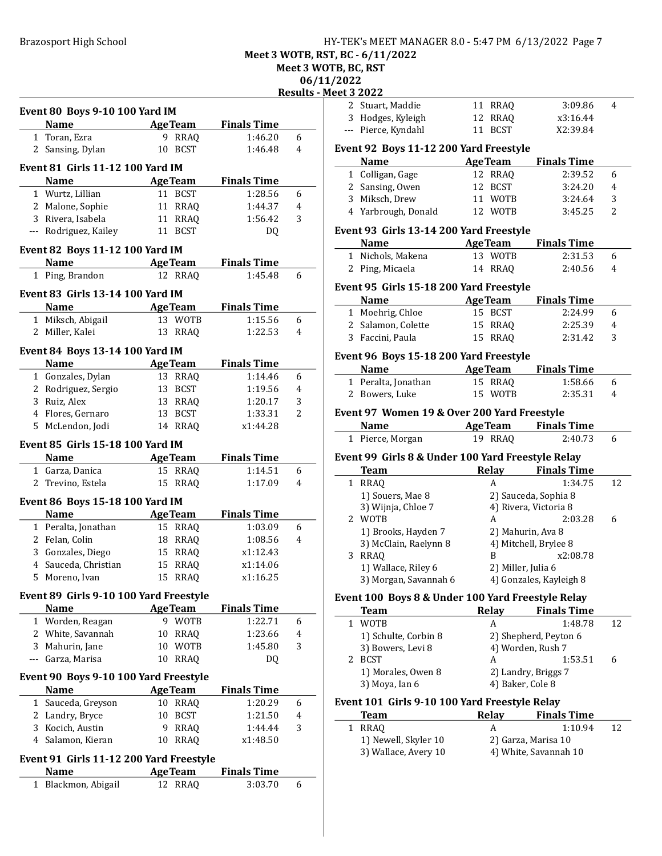Brazosport High School **HY-TEK's MEET MANAGER 8.0 - 5:47 PM 6/13/2022** Page 7

Meet 3 WOTB, RST, BC - 6/11/2022

Meet 3 WOTB, BC, RST

06/11/2022 <u>.</u><br><u>Meet</u>

|              |                                         |                |                 |                    | 06/11          |
|--------------|-----------------------------------------|----------------|-----------------|--------------------|----------------|
|              |                                         |                |                 |                    | Results - N    |
|              | <b>Event 80 Boys 9-10 100 Yard IM</b>   |                |                 |                    |                |
|              | <b>Name</b>                             |                | <b>AgeTeam</b>  | <b>Finals Time</b> |                |
| 1.           | Toran, Ezra                             |                | 9 RRAQ          | 1:46.20            | 6              |
|              | 2 Sansing, Dylan                        | 10             | <b>BCST</b>     | 1:46.48            | 4              |
|              | <b>Event 81 Girls 11-12 100 Yard IM</b> |                |                 |                    |                |
|              | <b>Name</b>                             |                | <b>AgeTeam</b>  | <b>Finals Time</b> |                |
|              | 1 Wurtz, Lillian                        |                | 11 BCST         | 1:28.56            | 6              |
|              | 2 Malone, Sophie                        |                | 11 RRAQ         | 1:44.37            | 4              |
|              | 3 Rivera, Isabela                       |                | 11 RRAQ         | 1:56.42            | 3              |
|              | --- Rodriguez, Kailey                   |                | 11 BCST         | DQ.                |                |
|              |                                         |                |                 |                    |                |
|              | Event 82 Boys 11-12 100 Yard IM         |                |                 |                    |                |
|              | Name                                    |                | <b>AgeTeam</b>  | <b>Finals Time</b> |                |
|              | 1 Ping, Brandon                         |                | 12 RRAQ         | 1:45.48            | 6              |
|              | <b>Event 83 Girls 13-14 100 Yard IM</b> |                |                 |                    |                |
|              | <b>Name</b>                             |                | <b>Age Team</b> | <b>Finals Time</b> |                |
|              | 1 Miksch, Abigail                       |                | 13 WOTB         | 1:15.56            | 6              |
|              | 2 Miller, Kalei                         | 13             | RRAQ            | 1:22.53            | 4              |
|              | Event 84 Boys 13-14 100 Yard IM         |                |                 |                    |                |
|              | <b>Name</b>                             | <b>AgeTeam</b> |                 | <b>Finals Time</b> |                |
|              | 1 Gonzales, Dylan                       |                | 13 RRAQ         | 1:14.46            | 6              |
|              | 2 Rodriguez, Sergio                     |                | 13 BCST         | 1:19.56            | 4              |
|              | 3 Ruiz, Alex                            |                | 13 RRAQ         | 1:20.17            | 3              |
|              | 4 Flores, Gernaro                       | 13             | BCST            | 1:33.31            | $\overline{2}$ |
|              | 5 McLendon, Jodi                        |                | 14 RRAQ         | x1:44.28           |                |
|              |                                         |                |                 |                    |                |
|              | Event 85 Girls 15-18 100 Yard IM        |                |                 |                    |                |
|              | Name AgeTeam                            |                |                 | <b>Finals Time</b> |                |
|              | 1 Garza, Danica                         |                | 15 RRAQ         | 1:14.51            | 6              |
|              | 2 Trevino, Estela                       | 15             | RRAQ            | 1:17.09            | 4              |
|              | Event 86 Boys 15-18 100 Yard IM         |                |                 |                    |                |
|              | <b>Name</b>                             |                | <b>AgeTeam</b>  | <b>Finals Time</b> |                |
|              | 1 Peralta, Jonathan                     |                | 15 RRAQ         | 1:03.09            | 6              |
|              | 2 Felan, Colin                          | 18             | RRAQ            | 1:08.56            | 4              |
|              | 3 Gonzales, Diego                       |                | 15 RRAQ         | x1:12.43           |                |
|              | 4 Sauceda, Christian                    |                | 15 RRAQ         | x1:14.06           |                |
| 5            | Moreno, Ivan                            | 15             | <b>RRAQ</b>     | x1:16.25           |                |
|              | Event 89 Girls 9-10 100 Yard Freestyle  |                |                 |                    |                |
|              | <b>Name</b>                             |                | <b>AgeTeam</b>  | <b>Finals Time</b> |                |
|              | 1 Worden, Reagan                        | 9              | <b>WOTB</b>     | 1:22.71            | 6              |
|              | 2 White, Savannah                       | 10             | RRAQ            | 1:23.66            | 4              |
|              | 3 Mahurin, Jane                         | 10             | <b>WOTB</b>     | 1:45.80            | 3              |
|              | Garza, Marisa                           | 10             | <b>RRAQ</b>     | DQ                 |                |
|              |                                         |                |                 |                    |                |
|              | Event 90 Boys 9-10 100 Yard Freestyle   |                |                 |                    |                |
|              | <b>Name</b>                             |                | <b>AgeTeam</b>  | <b>Finals Time</b> |                |
| $\mathbf{1}$ | Sauceda, Greyson                        | 10             | <b>RRAQ</b>     | 1:20.29            | 6              |
|              | 2 Landry, Bryce                         | 10             | <b>BCST</b>     | 1:21.50            | 4              |
|              | 3 Kocich, Austin                        | 9              | <b>RRAQ</b>     | 1:44.44            | 3              |
|              | 4 Salamon, Kieran                       | 10             | <b>RRAQ</b>     | x1:48.50           |                |
|              | Event 91 Girls 11-12 200 Yard Freestyle |                |                 |                    |                |
|              | <b>Name</b>                             |                | <b>AgeTeam</b>  | <b>Finals Time</b> |                |
| $\mathbf{1}$ | Blackmon, Abigail                       |                | 12 RRAQ         | 3:03.70            | 6              |
|              |                                         |                |                 |                    |                |

| eet 3 2022<br>2 Stuart, Maddie<br>11 RRAQ<br>3:09.86<br>4<br>3 Hodges, Kyleigh<br>12 RRAQ<br>x3:16.44<br>--- Pierce, Kyndahl<br>11 BCST<br>X2:39.84<br>Event 92 Boys 11-12 200 Yard Freestyle<br>Name<br><b>AgeTeam</b><br><b>Finals Time</b><br>1 Colligan, Gage<br>12 RRAQ<br>2:39.52<br>6<br>2 Sansing, Owen<br>12 BCST<br>3:24.20<br>4<br>3 Miksch, Drew<br>11 WOTB<br>3:24.64<br>3<br>4 Yarbrough, Donald<br>12 WOTB<br>3:45.25<br>2<br>Event 93 Girls 13-14 200 Yard Freestyle<br><b>AgeTeam</b> Finals Time<br><b>Name</b><br>13 WOTB<br>1 Nichols, Makena<br>2:31.53<br>6<br>2 Ping, Micaela<br>14 RRAQ<br>2:40.56<br>4<br>Event 95 Girls 15-18 200 Yard Freestyle<br>AgeTeam Finals Time<br><b>Name</b><br>1 Moehrig, Chloe<br>15 BCST<br>2:24.99<br>6<br>2 Salamon, Colette<br>15 RRAQ<br>2:25.39<br>4<br>3 Faccini, Paula<br>15 RRAQ<br>2:31.42<br>3<br>Event 96 Boys 15-18 200 Yard Freestyle<br>Name<br><b>AgeTeam</b> Finals Time<br>1 Peralta, Jonathan<br>15 RRAQ<br>1:58.66<br>6<br>15 WOTB<br>2:35.31<br>2 Bowers, Luke<br>4<br>Event 97 Women 19 & Over 200 Yard Freestyle<br><b>AgeTeam</b> Finals Time<br>Name<br>19 RRAQ<br>1 Pierce, Morgan<br>2:40.73<br>6<br>Event 99 Girls 8 & Under 100 Yard Freestyle Relay<br>Relay Finals Time<br><b>Team</b><br>1:34.75<br>1 RRAQ<br>12<br>A<br>1) Souers, Mae 8<br>2) Sauceda, Sophia 8<br>3) Wijnja, Chloe 7<br>4) Rivera, Victoria 8<br>2 WOTB<br>2:03.28<br>6<br>A<br>1) Brooks, Hayden 7<br>2) Mahurin, Ava 8<br>3) McClain, Raelynn 8<br>4) Mitchell, Brylee 8<br>3 RRAQ<br>x2:08.78<br>B<br>1) Wallace, Riley 6<br>2) Miller, Julia 6<br>3) Morgan, Savannah 6<br>4) Gonzales, Kayleigh 8<br>Event 100 Boys 8 & Under 100 Yard Freestyle Relay<br><b>Relay</b><br><b>Team</b><br><b>Finals Time</b><br>WOTB<br>1:48.78<br>1<br>A<br>12<br>1) Schulte, Corbin 8<br>2) Shepherd, Peyton 6<br>4) Worden, Rush 7<br>3) Bowers, Levi 8<br>2 BCST<br>1:53.51<br>6<br>A<br>1) Morales, Owen 8<br>2) Landry, Briggs 7<br>3) Moya, Ian 6<br>4) Baker, Cole 8<br>Event 101 Girls 9-10 100 Yard Freestyle Relay<br><b>Finals Time</b><br><b>Team</b><br>Relay | /2022 |  |  |  |
|--------------------------------------------------------------------------------------------------------------------------------------------------------------------------------------------------------------------------------------------------------------------------------------------------------------------------------------------------------------------------------------------------------------------------------------------------------------------------------------------------------------------------------------------------------------------------------------------------------------------------------------------------------------------------------------------------------------------------------------------------------------------------------------------------------------------------------------------------------------------------------------------------------------------------------------------------------------------------------------------------------------------------------------------------------------------------------------------------------------------------------------------------------------------------------------------------------------------------------------------------------------------------------------------------------------------------------------------------------------------------------------------------------------------------------------------------------------------------------------------------------------------------------------------------------------------------------------------------------------------------------------------------------------------------------------------------------------------------------------------------------------------------------------------------------------------------------------------------------------------------------------------------------------------------------------------------------------------------------------------------------------------------------------------------------------------------------------------------------------------------|-------|--|--|--|
|                                                                                                                                                                                                                                                                                                                                                                                                                                                                                                                                                                                                                                                                                                                                                                                                                                                                                                                                                                                                                                                                                                                                                                                                                                                                                                                                                                                                                                                                                                                                                                                                                                                                                                                                                                                                                                                                                                                                                                                                                                                                                                                          |       |  |  |  |
|                                                                                                                                                                                                                                                                                                                                                                                                                                                                                                                                                                                                                                                                                                                                                                                                                                                                                                                                                                                                                                                                                                                                                                                                                                                                                                                                                                                                                                                                                                                                                                                                                                                                                                                                                                                                                                                                                                                                                                                                                                                                                                                          |       |  |  |  |
|                                                                                                                                                                                                                                                                                                                                                                                                                                                                                                                                                                                                                                                                                                                                                                                                                                                                                                                                                                                                                                                                                                                                                                                                                                                                                                                                                                                                                                                                                                                                                                                                                                                                                                                                                                                                                                                                                                                                                                                                                                                                                                                          |       |  |  |  |
|                                                                                                                                                                                                                                                                                                                                                                                                                                                                                                                                                                                                                                                                                                                                                                                                                                                                                                                                                                                                                                                                                                                                                                                                                                                                                                                                                                                                                                                                                                                                                                                                                                                                                                                                                                                                                                                                                                                                                                                                                                                                                                                          |       |  |  |  |
|                                                                                                                                                                                                                                                                                                                                                                                                                                                                                                                                                                                                                                                                                                                                                                                                                                                                                                                                                                                                                                                                                                                                                                                                                                                                                                                                                                                                                                                                                                                                                                                                                                                                                                                                                                                                                                                                                                                                                                                                                                                                                                                          |       |  |  |  |
|                                                                                                                                                                                                                                                                                                                                                                                                                                                                                                                                                                                                                                                                                                                                                                                                                                                                                                                                                                                                                                                                                                                                                                                                                                                                                                                                                                                                                                                                                                                                                                                                                                                                                                                                                                                                                                                                                                                                                                                                                                                                                                                          |       |  |  |  |
|                                                                                                                                                                                                                                                                                                                                                                                                                                                                                                                                                                                                                                                                                                                                                                                                                                                                                                                                                                                                                                                                                                                                                                                                                                                                                                                                                                                                                                                                                                                                                                                                                                                                                                                                                                                                                                                                                                                                                                                                                                                                                                                          |       |  |  |  |
|                                                                                                                                                                                                                                                                                                                                                                                                                                                                                                                                                                                                                                                                                                                                                                                                                                                                                                                                                                                                                                                                                                                                                                                                                                                                                                                                                                                                                                                                                                                                                                                                                                                                                                                                                                                                                                                                                                                                                                                                                                                                                                                          |       |  |  |  |
|                                                                                                                                                                                                                                                                                                                                                                                                                                                                                                                                                                                                                                                                                                                                                                                                                                                                                                                                                                                                                                                                                                                                                                                                                                                                                                                                                                                                                                                                                                                                                                                                                                                                                                                                                                                                                                                                                                                                                                                                                                                                                                                          |       |  |  |  |
|                                                                                                                                                                                                                                                                                                                                                                                                                                                                                                                                                                                                                                                                                                                                                                                                                                                                                                                                                                                                                                                                                                                                                                                                                                                                                                                                                                                                                                                                                                                                                                                                                                                                                                                                                                                                                                                                                                                                                                                                                                                                                                                          |       |  |  |  |
|                                                                                                                                                                                                                                                                                                                                                                                                                                                                                                                                                                                                                                                                                                                                                                                                                                                                                                                                                                                                                                                                                                                                                                                                                                                                                                                                                                                                                                                                                                                                                                                                                                                                                                                                                                                                                                                                                                                                                                                                                                                                                                                          |       |  |  |  |
|                                                                                                                                                                                                                                                                                                                                                                                                                                                                                                                                                                                                                                                                                                                                                                                                                                                                                                                                                                                                                                                                                                                                                                                                                                                                                                                                                                                                                                                                                                                                                                                                                                                                                                                                                                                                                                                                                                                                                                                                                                                                                                                          |       |  |  |  |
|                                                                                                                                                                                                                                                                                                                                                                                                                                                                                                                                                                                                                                                                                                                                                                                                                                                                                                                                                                                                                                                                                                                                                                                                                                                                                                                                                                                                                                                                                                                                                                                                                                                                                                                                                                                                                                                                                                                                                                                                                                                                                                                          |       |  |  |  |
|                                                                                                                                                                                                                                                                                                                                                                                                                                                                                                                                                                                                                                                                                                                                                                                                                                                                                                                                                                                                                                                                                                                                                                                                                                                                                                                                                                                                                                                                                                                                                                                                                                                                                                                                                                                                                                                                                                                                                                                                                                                                                                                          |       |  |  |  |
|                                                                                                                                                                                                                                                                                                                                                                                                                                                                                                                                                                                                                                                                                                                                                                                                                                                                                                                                                                                                                                                                                                                                                                                                                                                                                                                                                                                                                                                                                                                                                                                                                                                                                                                                                                                                                                                                                                                                                                                                                                                                                                                          |       |  |  |  |
|                                                                                                                                                                                                                                                                                                                                                                                                                                                                                                                                                                                                                                                                                                                                                                                                                                                                                                                                                                                                                                                                                                                                                                                                                                                                                                                                                                                                                                                                                                                                                                                                                                                                                                                                                                                                                                                                                                                                                                                                                                                                                                                          |       |  |  |  |
|                                                                                                                                                                                                                                                                                                                                                                                                                                                                                                                                                                                                                                                                                                                                                                                                                                                                                                                                                                                                                                                                                                                                                                                                                                                                                                                                                                                                                                                                                                                                                                                                                                                                                                                                                                                                                                                                                                                                                                                                                                                                                                                          |       |  |  |  |
|                                                                                                                                                                                                                                                                                                                                                                                                                                                                                                                                                                                                                                                                                                                                                                                                                                                                                                                                                                                                                                                                                                                                                                                                                                                                                                                                                                                                                                                                                                                                                                                                                                                                                                                                                                                                                                                                                                                                                                                                                                                                                                                          |       |  |  |  |
|                                                                                                                                                                                                                                                                                                                                                                                                                                                                                                                                                                                                                                                                                                                                                                                                                                                                                                                                                                                                                                                                                                                                                                                                                                                                                                                                                                                                                                                                                                                                                                                                                                                                                                                                                                                                                                                                                                                                                                                                                                                                                                                          |       |  |  |  |
|                                                                                                                                                                                                                                                                                                                                                                                                                                                                                                                                                                                                                                                                                                                                                                                                                                                                                                                                                                                                                                                                                                                                                                                                                                                                                                                                                                                                                                                                                                                                                                                                                                                                                                                                                                                                                                                                                                                                                                                                                                                                                                                          |       |  |  |  |
|                                                                                                                                                                                                                                                                                                                                                                                                                                                                                                                                                                                                                                                                                                                                                                                                                                                                                                                                                                                                                                                                                                                                                                                                                                                                                                                                                                                                                                                                                                                                                                                                                                                                                                                                                                                                                                                                                                                                                                                                                                                                                                                          |       |  |  |  |
|                                                                                                                                                                                                                                                                                                                                                                                                                                                                                                                                                                                                                                                                                                                                                                                                                                                                                                                                                                                                                                                                                                                                                                                                                                                                                                                                                                                                                                                                                                                                                                                                                                                                                                                                                                                                                                                                                                                                                                                                                                                                                                                          |       |  |  |  |
|                                                                                                                                                                                                                                                                                                                                                                                                                                                                                                                                                                                                                                                                                                                                                                                                                                                                                                                                                                                                                                                                                                                                                                                                                                                                                                                                                                                                                                                                                                                                                                                                                                                                                                                                                                                                                                                                                                                                                                                                                                                                                                                          |       |  |  |  |
|                                                                                                                                                                                                                                                                                                                                                                                                                                                                                                                                                                                                                                                                                                                                                                                                                                                                                                                                                                                                                                                                                                                                                                                                                                                                                                                                                                                                                                                                                                                                                                                                                                                                                                                                                                                                                                                                                                                                                                                                                                                                                                                          |       |  |  |  |
|                                                                                                                                                                                                                                                                                                                                                                                                                                                                                                                                                                                                                                                                                                                                                                                                                                                                                                                                                                                                                                                                                                                                                                                                                                                                                                                                                                                                                                                                                                                                                                                                                                                                                                                                                                                                                                                                                                                                                                                                                                                                                                                          |       |  |  |  |
|                                                                                                                                                                                                                                                                                                                                                                                                                                                                                                                                                                                                                                                                                                                                                                                                                                                                                                                                                                                                                                                                                                                                                                                                                                                                                                                                                                                                                                                                                                                                                                                                                                                                                                                                                                                                                                                                                                                                                                                                                                                                                                                          |       |  |  |  |
|                                                                                                                                                                                                                                                                                                                                                                                                                                                                                                                                                                                                                                                                                                                                                                                                                                                                                                                                                                                                                                                                                                                                                                                                                                                                                                                                                                                                                                                                                                                                                                                                                                                                                                                                                                                                                                                                                                                                                                                                                                                                                                                          |       |  |  |  |
|                                                                                                                                                                                                                                                                                                                                                                                                                                                                                                                                                                                                                                                                                                                                                                                                                                                                                                                                                                                                                                                                                                                                                                                                                                                                                                                                                                                                                                                                                                                                                                                                                                                                                                                                                                                                                                                                                                                                                                                                                                                                                                                          |       |  |  |  |
|                                                                                                                                                                                                                                                                                                                                                                                                                                                                                                                                                                                                                                                                                                                                                                                                                                                                                                                                                                                                                                                                                                                                                                                                                                                                                                                                                                                                                                                                                                                                                                                                                                                                                                                                                                                                                                                                                                                                                                                                                                                                                                                          |       |  |  |  |
|                                                                                                                                                                                                                                                                                                                                                                                                                                                                                                                                                                                                                                                                                                                                                                                                                                                                                                                                                                                                                                                                                                                                                                                                                                                                                                                                                                                                                                                                                                                                                                                                                                                                                                                                                                                                                                                                                                                                                                                                                                                                                                                          |       |  |  |  |
|                                                                                                                                                                                                                                                                                                                                                                                                                                                                                                                                                                                                                                                                                                                                                                                                                                                                                                                                                                                                                                                                                                                                                                                                                                                                                                                                                                                                                                                                                                                                                                                                                                                                                                                                                                                                                                                                                                                                                                                                                                                                                                                          |       |  |  |  |
|                                                                                                                                                                                                                                                                                                                                                                                                                                                                                                                                                                                                                                                                                                                                                                                                                                                                                                                                                                                                                                                                                                                                                                                                                                                                                                                                                                                                                                                                                                                                                                                                                                                                                                                                                                                                                                                                                                                                                                                                                                                                                                                          |       |  |  |  |
|                                                                                                                                                                                                                                                                                                                                                                                                                                                                                                                                                                                                                                                                                                                                                                                                                                                                                                                                                                                                                                                                                                                                                                                                                                                                                                                                                                                                                                                                                                                                                                                                                                                                                                                                                                                                                                                                                                                                                                                                                                                                                                                          |       |  |  |  |
|                                                                                                                                                                                                                                                                                                                                                                                                                                                                                                                                                                                                                                                                                                                                                                                                                                                                                                                                                                                                                                                                                                                                                                                                                                                                                                                                                                                                                                                                                                                                                                                                                                                                                                                                                                                                                                                                                                                                                                                                                                                                                                                          |       |  |  |  |
|                                                                                                                                                                                                                                                                                                                                                                                                                                                                                                                                                                                                                                                                                                                                                                                                                                                                                                                                                                                                                                                                                                                                                                                                                                                                                                                                                                                                                                                                                                                                                                                                                                                                                                                                                                                                                                                                                                                                                                                                                                                                                                                          |       |  |  |  |
|                                                                                                                                                                                                                                                                                                                                                                                                                                                                                                                                                                                                                                                                                                                                                                                                                                                                                                                                                                                                                                                                                                                                                                                                                                                                                                                                                                                                                                                                                                                                                                                                                                                                                                                                                                                                                                                                                                                                                                                                                                                                                                                          |       |  |  |  |
|                                                                                                                                                                                                                                                                                                                                                                                                                                                                                                                                                                                                                                                                                                                                                                                                                                                                                                                                                                                                                                                                                                                                                                                                                                                                                                                                                                                                                                                                                                                                                                                                                                                                                                                                                                                                                                                                                                                                                                                                                                                                                                                          |       |  |  |  |
|                                                                                                                                                                                                                                                                                                                                                                                                                                                                                                                                                                                                                                                                                                                                                                                                                                                                                                                                                                                                                                                                                                                                                                                                                                                                                                                                                                                                                                                                                                                                                                                                                                                                                                                                                                                                                                                                                                                                                                                                                                                                                                                          |       |  |  |  |
|                                                                                                                                                                                                                                                                                                                                                                                                                                                                                                                                                                                                                                                                                                                                                                                                                                                                                                                                                                                                                                                                                                                                                                                                                                                                                                                                                                                                                                                                                                                                                                                                                                                                                                                                                                                                                                                                                                                                                                                                                                                                                                                          |       |  |  |  |
|                                                                                                                                                                                                                                                                                                                                                                                                                                                                                                                                                                                                                                                                                                                                                                                                                                                                                                                                                                                                                                                                                                                                                                                                                                                                                                                                                                                                                                                                                                                                                                                                                                                                                                                                                                                                                                                                                                                                                                                                                                                                                                                          |       |  |  |  |
|                                                                                                                                                                                                                                                                                                                                                                                                                                                                                                                                                                                                                                                                                                                                                                                                                                                                                                                                                                                                                                                                                                                                                                                                                                                                                                                                                                                                                                                                                                                                                                                                                                                                                                                                                                                                                                                                                                                                                                                                                                                                                                                          |       |  |  |  |
|                                                                                                                                                                                                                                                                                                                                                                                                                                                                                                                                                                                                                                                                                                                                                                                                                                                                                                                                                                                                                                                                                                                                                                                                                                                                                                                                                                                                                                                                                                                                                                                                                                                                                                                                                                                                                                                                                                                                                                                                                                                                                                                          |       |  |  |  |
|                                                                                                                                                                                                                                                                                                                                                                                                                                                                                                                                                                                                                                                                                                                                                                                                                                                                                                                                                                                                                                                                                                                                                                                                                                                                                                                                                                                                                                                                                                                                                                                                                                                                                                                                                                                                                                                                                                                                                                                                                                                                                                                          |       |  |  |  |
|                                                                                                                                                                                                                                                                                                                                                                                                                                                                                                                                                                                                                                                                                                                                                                                                                                                                                                                                                                                                                                                                                                                                                                                                                                                                                                                                                                                                                                                                                                                                                                                                                                                                                                                                                                                                                                                                                                                                                                                                                                                                                                                          |       |  |  |  |
|                                                                                                                                                                                                                                                                                                                                                                                                                                                                                                                                                                                                                                                                                                                                                                                                                                                                                                                                                                                                                                                                                                                                                                                                                                                                                                                                                                                                                                                                                                                                                                                                                                                                                                                                                                                                                                                                                                                                                                                                                                                                                                                          |       |  |  |  |
|                                                                                                                                                                                                                                                                                                                                                                                                                                                                                                                                                                                                                                                                                                                                                                                                                                                                                                                                                                                                                                                                                                                                                                                                                                                                                                                                                                                                                                                                                                                                                                                                                                                                                                                                                                                                                                                                                                                                                                                                                                                                                                                          |       |  |  |  |
|                                                                                                                                                                                                                                                                                                                                                                                                                                                                                                                                                                                                                                                                                                                                                                                                                                                                                                                                                                                                                                                                                                                                                                                                                                                                                                                                                                                                                                                                                                                                                                                                                                                                                                                                                                                                                                                                                                                                                                                                                                                                                                                          |       |  |  |  |
|                                                                                                                                                                                                                                                                                                                                                                                                                                                                                                                                                                                                                                                                                                                                                                                                                                                                                                                                                                                                                                                                                                                                                                                                                                                                                                                                                                                                                                                                                                                                                                                                                                                                                                                                                                                                                                                                                                                                                                                                                                                                                                                          |       |  |  |  |
|                                                                                                                                                                                                                                                                                                                                                                                                                                                                                                                                                                                                                                                                                                                                                                                                                                                                                                                                                                                                                                                                                                                                                                                                                                                                                                                                                                                                                                                                                                                                                                                                                                                                                                                                                                                                                                                                                                                                                                                                                                                                                                                          |       |  |  |  |

| Team                 | Relav               | <b>Finals Time</b>    |  |
|----------------------|---------------------|-----------------------|--|
| 1 RRAO               | А                   | 1:10.94               |  |
| 1) Newell, Skyler 10 | 2) Garza, Marisa 10 |                       |  |
| 3) Wallace, Avery 10 |                     | 4) White, Savannah 10 |  |